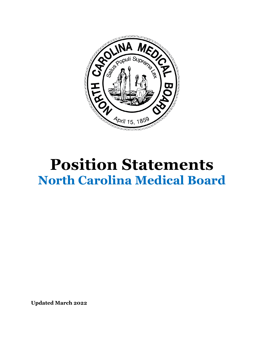

# **Position Statements North Carolina Medical Board**

**Updated March 2022**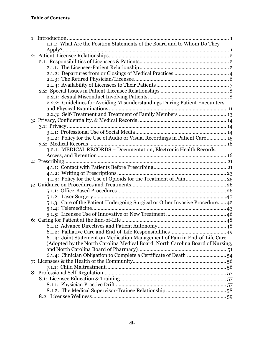| 1.1.1: What Are the Position Statements of the Board and to Whom Do They       |  |
|--------------------------------------------------------------------------------|--|
|                                                                                |  |
|                                                                                |  |
|                                                                                |  |
|                                                                                |  |
|                                                                                |  |
|                                                                                |  |
|                                                                                |  |
|                                                                                |  |
|                                                                                |  |
| 2.2.2: Guidelines for Avoiding Misunderstandings During Patient Encounters     |  |
|                                                                                |  |
| 2.2.3: Self-Treatment and Treatment of Family Members  13                      |  |
|                                                                                |  |
|                                                                                |  |
|                                                                                |  |
| 3.1.2: Policy for the Use of Audio or Visual Recordings in Patient Care 15     |  |
|                                                                                |  |
| 3.2.1: MEDICAL RECORDS - Documentation, Electronic Health Records,             |  |
|                                                                                |  |
|                                                                                |  |
|                                                                                |  |
|                                                                                |  |
|                                                                                |  |
|                                                                                |  |
|                                                                                |  |
|                                                                                |  |
| 5.1.3: Care of the Patient Undergoing Surgical or Other Invasive Procedure 42  |  |
|                                                                                |  |
|                                                                                |  |
|                                                                                |  |
|                                                                                |  |
| 6.1.3: Joint Statement on Medication Management of Pain in End-of-Life Care    |  |
| (Adopted by the North Carolina Medical Board, North Carolina Board of Nursing, |  |
|                                                                                |  |
| 6.1.4: Clinician Obligation to Complete a Certificate of Death 54              |  |
|                                                                                |  |
|                                                                                |  |
|                                                                                |  |
|                                                                                |  |
|                                                                                |  |
|                                                                                |  |
|                                                                                |  |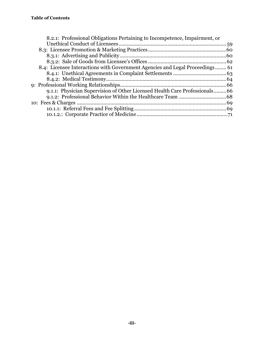| 8.2.1: Professional Obligations Pertaining to Incompetence, Impairment, or   |  |
|------------------------------------------------------------------------------|--|
|                                                                              |  |
|                                                                              |  |
|                                                                              |  |
|                                                                              |  |
| 8.4: Licensee Interactions with Government Agencies and Legal Proceedings 61 |  |
|                                                                              |  |
|                                                                              |  |
|                                                                              |  |
| 9.1.1: Physician Supervision of Other Licensed Health Care Professionals66   |  |
|                                                                              |  |
|                                                                              |  |
|                                                                              |  |
|                                                                              |  |
|                                                                              |  |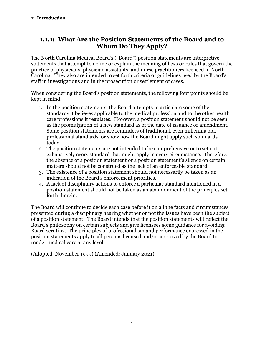## <span id="page-3-0"></span>**1.1.1: What Are the Position Statements of the Board and to Whom Do They Apply?**

The North Carolina Medical Board's ("Board") position statements are interpretive statements that attempt to define or explain the meaning of laws or rules that govern the practice of physicians, physician assistants, and nurse practitioners licensed in North Carolina. They also are intended to set forth criteria or guidelines used by the Board's staff in investigations and in the prosecution or settlement of cases.

When considering the Board's position statements, the following four points should be kept in mind.

- 1. In the position statements, the Board attempts to articulate some of the standards it believes applicable to the medical profession and to the other health care professions it regulates. However, a position statement should not be seen as the promulgation of a new standard as of the date of issuance or amendment. Some position statements are reminders of traditional, even millennia old, professional standards, or show how the Board might apply such standards today.
- 2. The position statements are not intended to be comprehensive or to set out exhaustively every standard that might apply in every circumstance. Therefore, the absence of a position statement or a position statement's silence on certain matters should not be construed as the lack of an enforceable standard.
- 3. The existence of a position statement should not necessarily be taken as an indication of the Board's enforcement priorities.
- 4. A lack of disciplinary actions to enforce a particular standard mentioned in a position statement should not be taken as an abandonment of the principles set forth therein.

The Board will continue to decide each case before it on all the facts and circumstances presented during a disciplinary hearing whether or not the issues have been the subject of a position statement. The Board intends that the position statements will reflect the Board's philosophy on certain subjects and give licensees some guidance for avoiding Board scrutiny. The principles of professionalism and performance expressed in the position statements apply to all persons licensed and/or approved by the Board to render medical care at any level.

(Adopted: November 1999) (Amended: January 2021)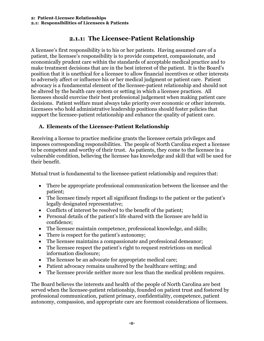## **2.1.1: The Licensee-Patient Relationship**

<span id="page-4-0"></span>A licensee's first responsibility is to his or her patients. Having assumed care of a patient, the licensee's responsibility is to provide competent, compassionate, and economically prudent care within the standards of acceptable medical practice and to make treatment decisions that are in the best interest of the patient. It is the Board's position that it is unethical for a licensee to allow financial incentives or other interests to adversely affect or influence his or her medical judgment or patient care. Patient advocacy is a fundamental element of the licensee-patient relationship and should not be altered by the health care system or setting in which a licensee practices. All licensees should exercise their best professional judgement when making patient care decisions. Patient welfare must always take priority over economic or other interests. Licensees who hold administrative leadership positions should foster policies that support the licensee-patient relationship and enhance the quality of patient care.

## **A. Elements of the Licensee-Patient Relationship**

Receiving a license to practice medicine grants the licensee certain privileges and imposes corresponding responsibilities. The people of North Carolina expect a licensee to be competent and worthy of their trust. As patients, they come to the licensee in a vulnerable condition, believing the licensee has knowledge and skill that will be used for their benefit.

Mutual trust is fundamental to the licensee-patient relationship and requires that:

- There be appropriate professional communication between the licensee and the patient;
- The licensee timely report all significant findings to the patient or the patient's legally designated representative;
- Conflicts of interest be resolved to the benefit of the patient;
- Personal details of the patient's life shared with the licensee are held in confidence;
- The licensee maintain competence, professional knowledge, and skills;
- There is respect for the patient's autonomy;
- The licensee maintains a compassionate and professional demeanor;
- The licensee respect the patient's right to request restrictions on medical information disclosure;
- The licensee be an advocate for appropriate medical care;
- Patient advocacy remains unaltered by the healthcare setting; and
- The licensee provide neither more nor less than the medical problem requires.

The Board believes the interests and health of the people of North Carolina are best served when the licensee-patient relationship, founded on patient trust and fostered by professional communication, patient primacy, confidentiality, competence, patient autonomy, compassion, and appropriate care are foremost considerations of licensees.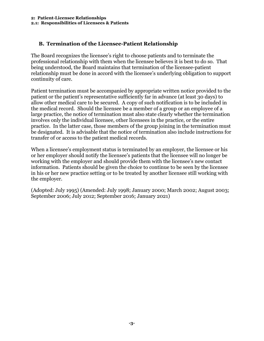#### **B. Termination of the Licensee-Patient Relationship**

The Board recognizes the licensee's right to choose patients and to terminate the professional relationship with them when the licensee believes it is best to do so. That being understood, the Board maintains that termination of the licensee-patient relationship must be done in accord with the licensee's underlying obligation to support continuity of care.

Patient termination must be accompanied by appropriate written notice provided to the patient or the patient's representative sufficiently far in advance (at least 30 days) to allow other medical care to be secured. A copy of such notification is to be included in the medical record. Should the licensee be a member of a group or an employee of a large practice, the notice of termination must also state clearly whether the termination involves only the individual licensee, other licensees in the practice, or the entire practice. In the latter case, those members of the group joining in the termination must be designated. It is advisable that the notice of termination also include instructions for transfer of or access to the patient medical records.

When a licensee's employment status is terminated by an employer, the licensee or his or her employer should notify the licensee's patients that the licensee will no longer be working with the employer and should provide them with the licensee's new contact information. Patients should be given the choice to continue to be seen by the licensee in his or her new practice setting or to be treated by another licensee still working with the employer.

(Adopted: July 1995) (Amended: July 1998; January 2000; March 2002; August 2003; September 2006; July 2012; September 2016; January 2021)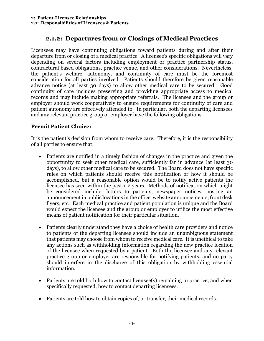## **2.1.2: Departures from or Closings of Medical Practices**

<span id="page-6-0"></span>Licensees may have continuing obligations toward patients during and after their departure from or closing of a medical practice. A licensee's specific obligations will vary depending on several factors including employment or practice partnership status, contractural based obligations, practice venue, and other considerations. Nevertheless, the patient's welfare, autonomy, and continuity of care must be the foremost consideration for all parties involved. Patients should therefore be given reasonable advance notice (at least 30 days) to allow other medical care to be secured. Good continuity of care includes preserving and providing appropriate access to medical records and may include making appropriate referrals. The licensee and the group or employer should work cooperatively to ensure requirements for continuity of care and patient autonomy are effectively attended to. In particular, both the departing licensees and any relevant practice group or employer have the following obligations.

#### **Permit Patient Choice:**

It is the patient's decision from whom to receive care. Therefore, it is the responsibility of all parties to ensure that:

- Patients are notified in a timely fashion of changes in the practice and given the opportunity to seek other medical care, sufficiently far in advance (at least 30 days), to allow other medical care to be secured. The Board does not have specific rules on which patients should receive this notification or how it should be accomplished, but a reasonable option would be to notify active patients the licensee has seen within the past 1-2 years. Methods of notification which might be considered include, letters to patients, newspaper notices, posting an announcement in public locations in the office, website announcements, front desk flyers, etc. Each medical practice and patient population is unique and the Board would expect the licensee and the group or employer to utilize the most effective means of patient notification for their particular situation.
- Patients clearly understand they have a choice of health care providers and notice to patients of the departing licensee should include an unambiguous statement that patients may choose from whom to receive medical care. It is unethical to take any actions such as withholding information regarding the new practice location of the licensee when requested by a patient. Both the licensee and any relevant practice group or employer are responsible for notifying patients, and no party should interfere in the discharge of this obligation by withholding essential information.
- Patients are told both how to contact licensee(s) remaining in practice, and when specifically requested, how to contact departing licensees.
- Patients are told how to obtain copies of, or transfer, their medical records.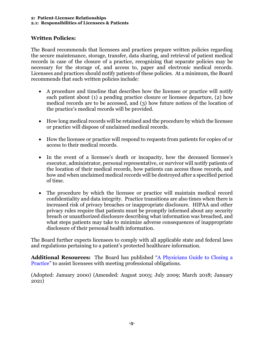#### **Written Policies:**

The Board recommends that licensees and practices prepare written policies regarding the secure maintenance, storage, transfer, data sharing, and retrieval of patient medical records in case of the closure of a practice, recognizing that separate policies may be necessary for the storage of, and access to, paper and electronic medical records. Licensees and practices should notify patients of these policies. At a minimum, the Board recommends that such written policies include:

- A procedure and timeline that describes how the licensee or practice will notify each patient about (1) a pending practice closure or licensee departure, (2) how medical records are to be accessed, and (3) how future notices of the location of the practice's medical records will be provided.
- How long medical records will be retained and the procedure by which the licensee or practice will dispose of unclaimed medical records.
- How the licensee or practice will respond to requests from patients for copies of or access to their medical records.
- In the event of a licensee's death or incapacity, how the deceased licensee's executor, administrator, personal representative, or survivor will notify patients of the location of their medical records, how patients can access those records, and how and when unclaimed medical records will be destroyed after a specified period of time.
- The procedure by which the licensee or practice will maintain medical record confidentiality and data integrity. Practice transitions are also times when there is increased risk of privacy breaches or inappropriate disclosure. HIPAA and other privacy rules require that patients must be promptly informed about any security breach or unauthorized disclosure describing what information was breached, and what steps patients may take to minimize adverse consequences of inappropriate disclosure of their personal health information.

The Board further expects licensees to comply with all applicable state and federal laws and regulations pertaining to a patient's protected healthcare information.

**Additional Resources:** The Board has published "A [Physicians Guide to Closing a](https://www.ncmedboard.org/images/uploads/article_images/Physicians_Guide_to_Closing_a_Practice_92619.pdf)  [Practice"](https://www.ncmedboard.org/images/uploads/article_images/Physicians_Guide_to_Closing_a_Practice_92619.pdf) to assist licensees with meeting professional obligations.

(Adopted: January 2000) (Amended: August 2003; July 2009; March 2018; January 2021)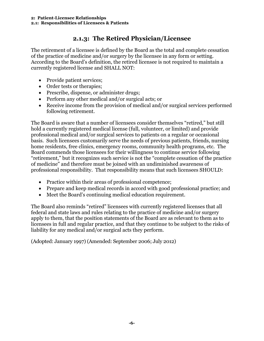# **2.1.3: The Retired Physician/Licensee**

<span id="page-8-0"></span>The retirement of a licensee is defined by the Board as the total and complete cessation of the practice of medicine and/or surgery by the licensee in any form or setting. According to the Board's definition, the retired licensee is not required to maintain a currently registered license and SHALL NOT:

- Provide patient services;
- Order tests or therapies;
- Prescribe, dispense, or administer drugs;
- Perform any other medical and/or surgical acts; or
- Receive income from the provision of medical and/or surgical services performed following retirement.

The Board is aware that a number of licensees consider themselves "retired," but still hold a currently registered medical license (full, volunteer, or limited) and provide professional medical and/or surgical services to patients on a regular or occasional basis. Such licensees customarily serve the needs of previous patients, friends, nursing home residents, free clinics, emergency rooms, community health programs, etc. The Board commends those licensees for their willingness to continue service following "retirement," but it recognizes such service is not the "complete cessation of the practice of medicine" and therefore must be joined with an undiminished awareness of professional responsibility. That responsibility means that such licensees SHOULD:

- Practice within their areas of professional competence;
- Prepare and keep medical records in accord with good professional practice; and
- Meet the Board's continuing medical education requirement.

The Board also reminds "retired" licensees with currently registered licenses that all federal and state laws and rules relating to the practice of medicine and/or surgery apply to them, that the position statements of the Board are as relevant to them as to licensees in full and regular practice, and that they continue to be subject to the risks of liability for any medical and/or surgical acts they perform.

(Adopted: January 1997) (Amended: September 2006; July 2012)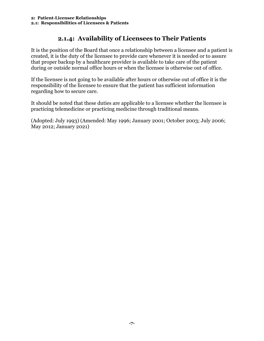## **2.1.4: Availability of Licensees to Their Patients**

<span id="page-9-0"></span>It is the position of the Board that once a relationship between a licensee and a patient is created, it is the duty of the licensee to provide care whenever it is needed or to assure that proper backup by a healthcare provider is available to take care of the patient during or outside normal office hours or when the licensee is otherwise out of office.

If the licensee is not going to be available after hours or otherwise out of office it is the responsibility of the licensee to ensure that the patient has sufficient information regarding how to secure care.

It should be noted that these duties are applicable to a licensee whether the licensee is practicing telemedicine or practicing medicine through traditional means.

(Adopted: July 1993) (Amended: May 1996; January 2001; October 2003; July 2006; May 2012; January 2021)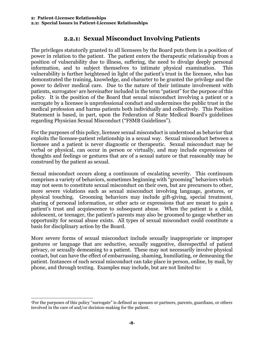## **2.2.1: Sexual Misconduct Involving Patients**

<span id="page-10-0"></span>The privileges statutorily granted to all licensees by the Board puts them in a position of power in relation to the patient. The patient enters the therapeutic relationship from a position of vulnerability due to illness, suffering, the need to divulge deeply personal information, and to subject themselves to intimate physical examination. This vulnerability is further heightened in light of the patient's trust in the licensee, who has demonstrated the training, knowledge, and character to be granted the privilege and the power to deliver medical care. Due to the nature of their intimate involvement with patients, surrogates<sup>[1](#page-10-1)</sup> are hereinafter included in the term "patient" for the purpose of this policy. It is the position of the Board that sexual misconduct involving a patient or a surrogate by a licensee is unprofessional conduct and undermines the public trust in the medical profession and harms patients both individually and collectively. This Position Statement is based, in part, upon the Federation of State Medical Board's guidelines regarding Physician Sexual Misconduct ("FSMB Guidelines").

For the purposes of this policy, licensee sexual misconduct is understood as behavior that exploits the licensee-patient relationship in a sexual way. Sexual misconduct between a licensee and a patient is never diagnostic or therapeutic. Sexual misconduct may be verbal or physical, can occur in person or virtually, and may include expressions of thoughts and feelings or gestures that are of a sexual nature or that reasonably may be construed by the patient as sexual.

Sexual misconduct occurs along a continuum of escalating severity. This continuum comprises a variety of behaviors, sometimes beginning with "grooming" behaviors which may not seem to constitute sexual misconduct on their own, but are precursors to other, more severe violations such as sexual misconduct involving language, gestures, or physical touching. Grooming behaviors may include gift-giving, special treatment, sharing of personal information, or other acts or expressions that are meant to gain a patient's trust and acquiescence to subsequent abuse. When the patient is a child, adolescent, or teenager, the patient's parents may also be groomed to gauge whether an opportunity for sexual abuse exists. All types of sexual misconduct could constitute a basis for disciplinary action by the Board.

More severe forms of sexual misconduct include sexually inappropriate or improper gestures or language that are seductive, sexually suggestive, disrespectful of patient privacy, or sexually demeaning to a patient. These may not necessarily involve physical contact, but can have the effect of embarrassing, shaming, humiliating, or demeaning the patient. Instances of such sexual misconduct can take place in person, online, by mail, by phone, and through texting. Examples may include, but are not limited to:

<span id="page-10-1"></span><sup>1</sup>For the purposes of this policy "surrogate" is defined as spouses or partners, parents, guardians, or others involved in the care of and/or decision-making for the patient.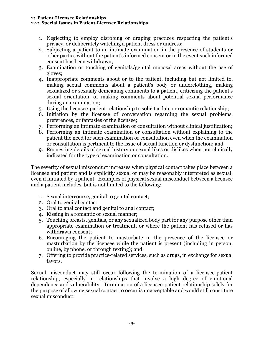#### **2: Patient-Licensee Relationships 2.2: Special Issues in Patient-Licensee Relationships**

- 1. Neglecting to employ disrobing or draping practices respecting the patient's privacy, or deliberately watching a patient dress or undress;
- 2. Subjecting a patient to an intimate examination in the presence of students or other parties without the patient's informed consent or in the event such informed consent has been withdrawn;
- 3. Examination or touching of genitals/genital mucosal areas without the use of gloves;
- 4. Inappropriate comments about or to the patient, including but not limited to, making sexual comments about a patient's body or underclothing, making sexualized or sexually demeaning comments to a patient, criticizing the patient's sexual orientation, or making comments about potential sexual performance during an examination;
- 5. Using the licensee-patient relationship to solicit a date or romantic relationship;
- 6. Initiation by the licensee of conversation regarding the sexual problems, preferences, or fantasies of the licensee;
- 7. Performing an intimate examination or consultation without clinical justification;
- 8. Performing an intimate examination or consultation without explaining to the patient the need for such examination or consultation even when the examination or consultation is pertinent to the issue of sexual function or dysfunction; and
- 9. Requesting details of sexual history or sexual likes or dislikes when not clinically indicated for the type of examination or consultation.

The severity of sexual misconduct increases when physical contact takes place between a licensee and patient and is explicitly sexual or may be reasonably interpreted as sexual, even if initiated by a patient. Examples of physical sexual misconduct between a licensee and a patient includes, but is not limited to the following:

- 1. Sexual intercourse, genital to genital contact;
- 2. Oral to genital contact;
- 3. Oral to anal contact and genital to anal contact;
- 4. Kissing in a romantic or sexual manner;
- 5. Touching breasts, genitals, or any sexualized body part for any purpose other than appropriate examination or treatment, or where the patient has refused or has withdrawn consent;
- 6. Encouraging the patient to masturbate in the presence of the licensee or masturbation by the licensee while the patient is present (including in person, online, by phone, or through texting); and
- 7. Offering to provide practice-related services, such as drugs, in exchange for sexual favors.

Sexual misconduct may still occur following the termination of a licensee-patient relationship, especially in relationships that involve a high degree of emotional dependence and vulnerability. Termination of a licensee-patient relationship solely for the purpose of allowing sexual contact to occur is unacceptable and would still constitute sexual misconduct.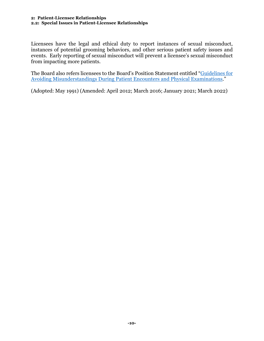Licensees have the legal and ethical duty to report instances of sexual misconduct, instances of potential grooming behaviors, and other serious patient safety issues and events. Early reporting of sexual misconduct will prevent a licensee's sexual misconduct from impacting more patients.

The Board also refers licensees to the Board's Position Statement entitled ["Guidelines for](https://www.ncmedboard.org/resources-information/professional-resources/laws-rules-position-statements/position-statements/guidelines_for_avoiding_misunderstandings_during_physical_examinations)  [Avoiding Misunderstandings During Patient Encounters and Physical Examinations.](https://www.ncmedboard.org/resources-information/professional-resources/laws-rules-position-statements/position-statements/guidelines_for_avoiding_misunderstandings_during_physical_examinations)"

(Adopted: May 1991) (Amended: April 2012; March 2016; January 2021; March 2022)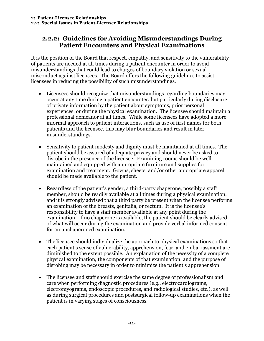## <span id="page-13-0"></span>**2.2.2: Guidelines for Avoiding Misunderstandings During Patient Encounters and Physical Examinations**

It is the position of the Board that respect, empathy, and sensitivity to the vulnerability of patients are needed at all times during a patient encounter in order to avoid misunderstandings that could lead to charges of boundary violation or sexual misconduct against licensees. The Board offers the following guidelines to assist licensees in reducing the possibility of such misunderstandings.

- Licensees should recognize that misunderstandings regarding boundaries may occur at any time during a patient encounter, but particularly during disclosure of private information by the patient about symptoms, prior personal experiences, or during the physical examination. The licensee should maintain a professional demeanor at all times. While some licensees have adopted a more informal approach to patient interactions, such as use of first names for both patients and the licensee, this may blur boundaries and result in later misunderstandings.
- Sensitivity to patient modesty and dignity must be maintained at all times. The patient should be assured of adequate privacy and should never be asked to disrobe in the presence of the licensee. Examining rooms should be well maintained and equipped with appropriate furniture and supplies for examination and treatment. Gowns, sheets, and/or other appropriate apparel should be made available to the patient.
- Regardless of the patient's gender, a third-party chaperone, possibly a staff member, should be readily available at all times during a physical examination, and it is strongly advised that a third party be present when the licensee performs an examination of the breasts, genitalia, or rectum. It is the licensee's responsibility to have a staff member available at any point during the examination. If no chaperone is available, the patient should be clearly advised of what will occur during the examination and provide verbal informed consent for an unchaperoned examination.
- The licensee should individualize the approach to physical examinations so that each patient's sense of vulnerability, apprehension, fear, and embarrassment are diminished to the extent possible. An explanation of the necessity of a complete physical examination, the components of that examination, and the purpose of disrobing may be necessary in order to minimize the patient's apprehension.
- The licensee and staff should exercise the same degree of professionalism and care when performing diagnostic procedures (e.g., electrocardiograms, electromyograms, endoscopic procedures, and radiological studies, etc.), as well as during surgical procedures and postsurgical follow-up examinations when the patient is in varying stages of consciousness.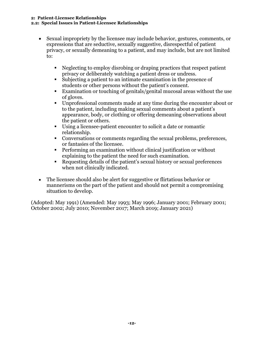#### **2: Patient-Licensee Relationships 2.2: Special Issues in Patient-Licensee Relationships**

- Sexual impropriety by the licensee may include behavior, gestures, comments, or expressions that are seductive, sexually suggestive, disrespectful of patient privacy, or sexually demeaning to a patient, and may include, but are not limited to:
	- Neglecting to employ disrobing or draping practices that respect patient privacy or deliberately watching a patient dress or undress.
	- Subjecting a patient to an intimate examination in the presence of students or other persons without the patient's consent.
	- Examination or touching of genitals/genital mucosal areas without the use of gloves.
	- Unprofessional comments made at any time during the encounter about or to the patient, including making sexual comments about a patient's appearance, body, or clothing or offering demeaning observations about the patient or others.
	- Using a licensee-patient encounter to solicit a date or romantic relationship.
	- Conversations or comments regarding the sexual problems, preferences, or fantasies of the licensee.
	- Performing an examination without clinical justification or without explaining to the patient the need for such examination.
	- Requesting details of the patient's sexual history or sexual preferences when not clinically indicated.
- The licensee should also be alert for suggestive or flirtatious behavior or mannerisms on the part of the patient and should not permit a compromising situation to develop.

(Adopted: May 1991) (Amended: May 1993; May 1996; January 2001; February 2001; October 2002; July 2010; November 2017; March 2019; January 2021)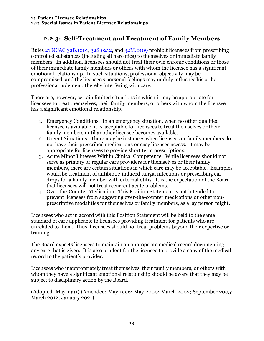# **2.2.3: Self-Treatment and Treatment of Family Members**

<span id="page-15-0"></span>Rules 21 NCAC [32B.1001,](http://reports.oah.state.nc.us/ncac/title%2021%20-%20occupational%20licensing%20boards%20and%20commissions/chapter%2032%20-%20north%20carolina%20medical%20board/subchapter%20b/21%20ncac%2032b%20.1001.pdf) [32S.0212,](https://www.ncmedboard.org/images/uploads/rules/21_NCAC_32S_.0212-Final_approval_.pdf) and [32M.0109](http://reports.oah.state.nc.us/ncac/title%2021%20-%20occupational%20licensing%20boards%20and%20commissions/chapter%2032%20-%20north%20carolina%20medical%20board/subchapter%20m/21%20ncac%2032m%20.0109.pdf) prohibit licensees from prescribing controlled substances (including all narcotics) to themselves or immediate family members. In addition, licensees should not treat their own chronic conditions or those of their immediate family members or others with whom the licensee has a significant emotional relationship. In such situations, professional objectivity may be compromised, and the licensee's personal feelings may unduly influence his or her professional judgment, thereby interfering with care.

There are, however, certain limited situations in which it may be appropriate for licensees to treat themselves, their family members, or others with whom the licensee has a significant emotional relationship.

- 1. Emergency Conditions. In an emergency situation, when no other qualified licensee is available, it is acceptable for licensees to treat themselves or their family members until another licensee becomes available.
- 2. Urgent Situations. There may be instances when licensees or family members do not have their prescribed medications or easy licensee access. It may be appropriate for licensees to provide short term prescriptions.
- 3. Acute Minor Illnesses Within Clinical Competence. While licensees should not serve as primary or regular care providers for themselves or their family members, there are certain situations in which care may be acceptable. Examples would be treatment of antibiotic-induced fungal infections or prescribing ear drops for a family member with external otitis. It is the expectation of the Board that licensees will not treat recurrent acute problems.
- 4. Over-the-Counter Medication. This Position Statement is not intended to prevent licensees from suggesting over-the-counter medications or other nonprescriptive modalities for themselves or family members, as a lay person might.

Licensees who act in accord with this Position Statement will be held to the same standard of care applicable to licensees providing treatment for patients who are unrelated to them. Thus, licensees should not treat problems beyond their expertise or training.

The Board expects licensees to maintain an appropriate medical record documenting any care that is given. It is also prudent for the licensee to provide a copy of the medical record to the patient's provider.

Licensees who inappropriately treat themselves, their family members, or others with whom they have a significant emotional relationship should be aware that they may be subject to disciplinary action by the Board.

(Adopted: May 1991) (Amended: May 1996; May 2000; March 2002; September 2005; March 2012; January 2021)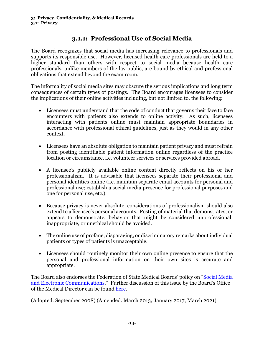## **3.1.1: Professional Use of Social Media**

<span id="page-16-0"></span>The Board recognizes that social media has increasing relevance to professionals and supports its responsible use. However, licensed health care professionals are held to a higher standard than others with respect to social media because health care professionals, unlike members of the lay public, are bound by ethical and professional obligations that extend beyond the exam room.

The informality of social media sites may obscure the serious implications and long term consequences of certain types of postings. The Board encourages licensees to consider the implications of their online activities including, but not limited to, the following:

- Licensees must understand that the code of conduct that governs their face to face encounters with patients also extends to online activity. As such, licensees interacting with patients online must maintain appropriate boundaries in accordance with professional ethical guidelines, just as they would in any other context.
- Licensees have an absolute obligation to maintain patient privacy and must refrain from posting identifiable patient information online regardless of the practice location or circumstance, i.e. volunteer services or services provided abroad.
- A licensee's publicly available online content directly reflects on his or her professionalism. It is advisable that licensees separate their professional and personal identities online (i.e. maintain separate email accounts for personal and professional use; establish a social media presence for professional purposes and one for personal use, etc.).
- Because privacy is never absolute, considerations of professionalism should also extend to a licensee's personal accounts. Posting of material that demonstrates, or appears to demonstrate, behavior that might be considered unprofessional, inappropriate, or unethical should be avoided.
- The online use of profane, disparaging, or discriminatory remarks about individual patients or types of patients is unacceptable.
- Licensees should routinely monitor their own online presence to ensure that the personal and professional information on their own sites is accurate and appropriate.

The Board also endorses the Federation of State Medical Boards' policy on ["Social Media](https://www.fsmb.org/siteassets/advocacy/policies/social-media-and-electronic-communications.pdf)  [and Electronic Communications.](https://www.fsmb.org/siteassets/advocacy/policies/social-media-and-electronic-communications.pdf)" Further discussion of this issue by the Board's Office of the Medical Director can be found [here.](http://tinyurl.com/jse62lt)

(Adopted: September 2008) (Amended: March 2013; January 2017; March 2021)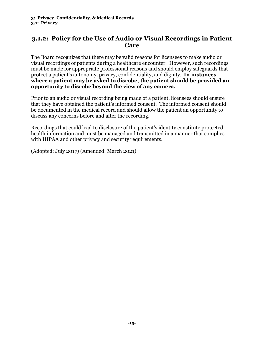## <span id="page-17-0"></span>**3.1.2: Policy for the Use of Audio or Visual Recordings in Patient Care**

The Board recognizes that there may be valid reasons for licensees to make audio or visual recordings of patients during a healthcare encounter. However, such recordings must be made for appropriate professional reasons and should employ safeguards that protect a patient's autonomy, privacy, confidentiality, and dignity. **In instances where a patient may be asked to disrobe, the patient should be provided an opportunity to disrobe beyond the view of any camera.**

Prior to an audio or visual recording being made of a patient, licensees should ensure that they have obtained the patient's informed consent. The informed consent should be documented in the medical record and should allow the patient an opportunity to discuss any concerns before and after the recording.

Recordings that could lead to disclosure of the patient's identity constitute protected health information and must be managed and transmitted in a manner that complies with HIPAA and other privacy and security requirements.

(Adopted: July 2017) (Amended: March 2021)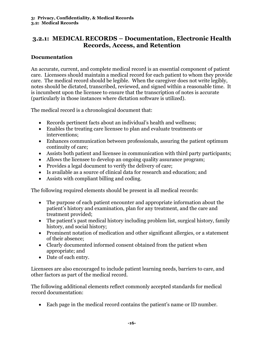## <span id="page-18-0"></span>**3.2.1: MEDICAL RECORDS – Documentation, Electronic Health Records, Access, and Retention**

## **Documentation**

An accurate, current, and complete medical record is an essential component of patient care. Licensees should maintain a medical record for each patient to whom they provide care. The medical record should be legible. When the caregiver does not write legibly, notes should be dictated, transcribed, reviewed, and signed within a reasonable time. It is incumbent upon the licensee to ensure that the transcription of notes is accurate (particularly in those instances where dictation software is utilized).

The medical record is a chronological document that:

- Records pertinent facts about an individual's health and wellness;
- Enables the treating care licensee to plan and evaluate treatments or interventions;
- Enhances communication between professionals, assuring the patient optimum continuity of care;
- Assists both patient and licensee in communication with third party participants;
- Allows the licensee to develop an ongoing quality assurance program;
- Provides a legal document to verify the delivery of care;
- Is available as a source of clinical data for research and education; and
- Assists with compliant billing and coding.

The following required elements should be present in all medical records:

- The purpose of each patient encounter and appropriate information about the patient's history and examination, plan for any treatment, and the care and treatment provided;
- The patient's past medical history including problem list, surgical history, family history, and social history;
- Prominent notation of medication and other significant allergies, or a statement of their absence;
- Clearly documented informed consent obtained from the patient when appropriate; and
- Date of each entry.

Licensees are also encouraged to include patient learning needs, barriers to care, and other factors as part of the medical record.

The following additional elements reflect commonly accepted standards for medical record documentation:

• Each page in the medical record contains the patient's name or ID number.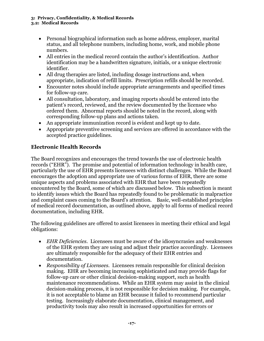#### **3: Privacy, Confidentiality, & Medical Records 3.2: Medical Records**

- Personal biographical information such as home address, employer, marital status, and all telephone numbers, including home, work, and mobile phone numbers.
- All entries in the medical record contain the author's identification. Author identification may be a handwritten signature, initials, or a unique electronic identifier.
- All drug therapies are listed, including dosage instructions and, when appropriate, indication of refill limits. Prescription refills should be recorded.
- Encounter notes should include appropriate arrangements and specified times for follow-up care.
- All consultation, laboratory, and imaging reports should be entered into the patient's record, reviewed, and the review documented by the licensee who ordered them. Abnormal reports should be noted in the record, along with corresponding follow-up plans and actions taken.
- An appropriate immunization record is evident and kept up to date.
- Appropriate preventive screening and services are offered in accordance with the accepted practice guidelines.

## **Electronic Health Records**

The Board recognizes and encourages the trend towards the use of electronic health records ("EHR"). The promise and potential of information technology in health care, particularly the use of EHR presents licensees with distinct challenges. While the Board encourages the adoption and appropriate use of various forms of EHR, there are some unique aspects and problems associated with EHR that have been repeatedly encountered by the Board, some of which are discussed below. This subsection is meant to identify issues which the Board has repeatedly found to be problematic in malpractice and complaint cases coming to the Board's attention. Basic, well-established principles of medical record documentation, as outlined above, apply to all forms of medical record documentation, including EHR.

The following guidelines are offered to assist licensees in meeting their ethical and legal obligations:

- *EHR Deficiencies.* Licensees must be aware of the idiosyncrasies and weaknesses of the EHR system they are using and adjust their practice accordingly. Licensees are ultimately responsible for the adequacy of their EHR entries and documentation.
- *Responsibility of Licensees.* Licensees remain responsible for clinical decision making. EHR are becoming increasing sophisticated and may provide flags for follow-up care or other clinical decision-making support, such as health maintenance recommendations. While an EHR system may assist in the clinical decision-making process, it is not responsible for decision making. For example, it is not acceptable to blame an EHR because it failed to recommend particular testing. Increasingly elaborate documentation, clinical management, and productivity tools may also result in increased opportunities for errors or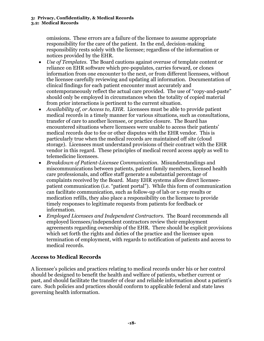omissions. These errors are a failure of the licensee to assume appropriate responsibility for the care of the patient. In the end, decision-making responsibility rests solely with the licensee; regardless of the information or notices provided by the EHR.

- *Use of Templates.* The Board cautions against overuse of template content or reliance on EHR software which pre-populates, carries forward, or clones information from one encounter to the next, or from different licensees, without the licensee carefully reviewing and updating all information. Documentation of clinical findings for each patient encounter must accurately and contemporaneously reflect the actual care provided. The use of "copy-and-paste" should only be employed in circumstances when the totality of copied material from prior interactions is pertinent to the current situation.
- *Availability of, or Access to, EHR.* Licensees must be able to provide patient medical records in a timely manner for various situations, such as consultations, transfer of care to another licensee, or practice closure. The Board has encountered situations where licensees were unable to access their patients' medical records due to fee or other disputes with the EHR vendor. This is particularly true when the medical records are maintained off site (cloud storage). Licensees must understand provisions of their contract with the EHR vendor in this regard. These principles of medical record access apply as well to telemedicine licensees.
- *Breakdown of Patient-Licensee Communication.* Misunderstandings and miscommunications between patients, patient family members, licensed health care professionals, and office staff generate a substantial percentage of complaints received by the Board. Many EHR systems allow direct licenseepatient communication (i.e. "patient portal"). While this form of communication can facilitate communication, such as follow-up of lab or x-ray results or medication refills, they also place a responsibility on the licensee to provide timely responses to legitimate requests from patients for feedback or information.
- *Employed Licensees and Independent Contractors*. The Board recommends all employed licensees/independent contractors review their employment agreements regarding ownership of the EHR. There should be explicit provisions which set forth the rights and duties of the practice and the licensee upon termination of employment, with regards to notification of patients and access to medical records.

## **Access to Medical Records**

A licensee's policies and practices relating to medical records under his or her control should be designed to benefit the health and welfare of patients, whether current or past, and should facilitate the transfer of clear and reliable information about a patient's care. Such policies and practices should conform to applicable federal and state laws governing health information.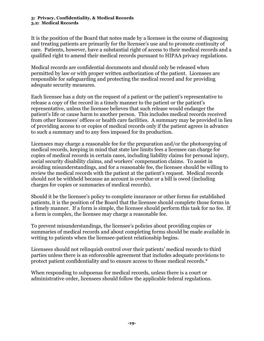It is the position of the Board that notes made by a licensee in the course of diagnosing and treating patients are primarily for the licensee's use and to promote continuity of care. Patients, however, have a substantial right of access to their medical records and a qualified right to amend their medical records pursuant to HIPAA privacy regulations.

Medical records are confidential documents and should only be released when permitted by law or with proper written authorization of the patient. Licensees are responsible for safeguarding and protecting the medical record and for providing adequate security measures.

Each licensee has a duty on the request of a patient or the patient's representative to release a copy of the record in a timely manner to the patient or the patient's representative, unless the licensee believes that such release would endanger the patient's life or cause harm to another person. This includes medical records received from other licensees' offices or health care facilities. A summary may be provided in lieu of providing access to or copies of medical records only if the patient agrees in advance to such a summary and to any fees imposed for its production.

Licensees may charge a reasonable fee for the preparation and/or the photocopying of medical records, keeping in mind that state law limits fees a licensee can charge for copies of medical records in certain cases, including liability claims for personal injury, social security disability claims, and workers' compensation claims. To assist in avoiding misunderstandings, and for a reasonable fee, the licensee should be willing to review the medical records with the patient at the patient's request. Medical records should not be withheld because an account is overdue or a bill is owed (including charges for copies or summaries of medical records).

Should it be the licensee's policy to complete insurance or other forms for established patients, it is the position of the Board that the licensee should complete those forms in a timely manner. If a form is simple, the licensee should perform this task for no fee. If a form is complex, the licensee may charge a reasonable fee.

To prevent misunderstandings, the licensee's policies about providing copies or summaries of medical records and about completing forms should be made available in writing to patients when the licensee-patient relationship begins.

Licensees should not relinquish control over their patients' medical records to third parties unless there is an enforceable agreement that includes adequate provisions to protect patient confidentiality and to ensure access to those medical records.\*

When responding to subpoenas for medical records, unless there is a court or administrative order, licensees should follow the applicable federal regulations.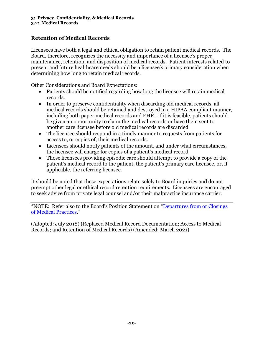#### **Retention of Medical Records**

Licensees have both a legal and ethical obligation to retain patient medical records. The Board, therefore, recognizes the necessity and importance of a licensee's proper maintenance, retention, and disposition of medical records. Patient interests related to present and future healthcare needs should be a licensee's primary consideration when determining how long to retain medical records.

Other Considerations and Board Expectations:

- Patients should be notified regarding how long the licensee will retain medical records.
- In order to preserve confidentiality when discarding old medical records, all medical records should be retained and destroyed in a HIPAA compliant manner, including both paper medical records and EHR. If it is feasible, patients should be given an opportunity to claim the medical records or have them sent to another care licensee before old medical records are discarded.
- The licensee should respond in a timely manner to requests from patients for access to, or copies of, their medical records.
- Licensees should notify patients of the amount, and under what circumstances, the licensee will charge for copies of a patient's medical record.
- Those licensees providing episodic care should attempt to provide a copy of the patient's medical record to the patient, the patient's primary care licensee, or, if applicable, the referring licensee.

It should be noted that these expectations relate solely to Board inquiries and do not preempt other legal or ethical record retention requirements. Licensees are encouraged to seek advice from private legal counsel and/or their malpractice insurance carrier*.*

\*NOTE: Refer also to the Board's Position Statement on ["Departures from or Closings](https://www.ncmedboard.org/resources-information/professional-resources/laws-rules-position-statements/position-statements/departures_or_closings_of_medical_practices)  [of Medical Practices.](https://www.ncmedboard.org/resources-information/professional-resources/laws-rules-position-statements/position-statements/departures_or_closings_of_medical_practices)"

(Adopted: July 2018) (Replaced Medical Record Documentation; Access to Medical Records; and Retention of Medical Records) (Amended: March 2021)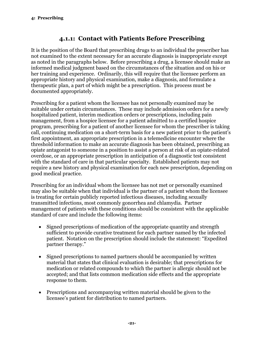## **4.1.1: Contact with Patients Before Prescribing**

<span id="page-23-0"></span>It is the position of the Board that prescribing drugs to an individual the prescriber has not examined to the extent necessary for an accurate diagnosis is inappropriate except as noted in the paragraphs below. Before prescribing a drug, a licensee should make an informed medical judgment based on the circumstances of the situation and on his or her training and experience. Ordinarily, this will require that the licensee perform an appropriate history and physical examination, make a diagnosis, and formulate a therapeutic plan, a part of which might be a prescription. This process must be documented appropriately.

Prescribing for a patient whom the licensee has not personally examined may be suitable under certain circumstances. These may include admission orders for a newly hospitalized patient, interim medication orders or prescriptions, including pain management, from a hospice licensee for a patient admitted to a certified hospice program, prescribing for a patient of another licensee for whom the prescriber is taking call, continuing medication on a short-term basis for a new patient prior to the patient's first appointment, an appropriate prescription in a telemedicine encounter where the threshold information to make an accurate diagnosis has been obtained, prescribing an opiate antagonist to someone in a position to assist a person at risk of an opiate-related overdose, or an appropriate prescription in anticipation of a diagnostic test consistent with the standard of care in that particular specialty. Established patients may not require a new history and physical examination for each new prescription, depending on good medical practice.

Prescribing for an individual whom the licensee has not met or personally examined may also be suitable when that individual is the partner of a patient whom the licensee is treating for certain publicly reported infectious diseases, including sexually transmitted infections, most commonly gonorrhea and chlamydia. Partner management of patients with these conditions should be consistent with the applicable standard of care and include the following items:

- Signed prescriptions of medication of the appropriate quantity and strength sufficient to provide curative treatment for each partner named by the infected patient. Notation on the prescription should include the statement: "Expedited partner therapy."
- Signed prescriptions to named partners should be accompanied by written material that states that clinical evaluation is desirable; that prescriptions for medication or related compounds to which the partner is allergic should not be accepted; and that lists common medication side effects and the appropriate response to them.
- Prescriptions and accompanying written material should be given to the licensee's patient for distribution to named partners.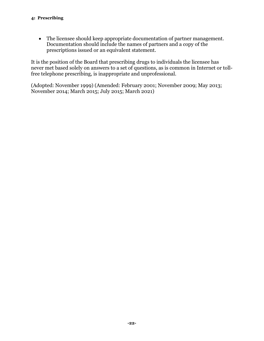#### **4: Prescribing**

• The licensee should keep appropriate documentation of partner management. Documentation should include the names of partners and a copy of the prescriptions issued or an equivalent statement.

It is the position of the Board that prescribing drugs to individuals the licensee has never met based solely on answers to a set of questions, as is common in Internet or tollfree telephone prescribing, is inappropriate and unprofessional.

(Adopted: November 1999) (Amended: February 2001; November 2009; May 2013; November 2014; March 2015; July 2015; March 2021)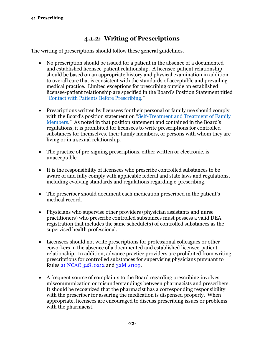# **4.1.2: Writing of Prescriptions**

<span id="page-25-0"></span>The writing of prescriptions should follow these general guidelines.

- No prescription should be issued for a patient in the absence of a documented and established licensee-patient relationship. A licensee-patient relationship should be based on an appropriate history and physical examination in addition to overall care that is consistent with the standards of acceptable and prevailing medical practice. Limited exceptions for prescribing outside an established licensee-patient relationship are specified in the Board's Position Statement titled ["Contact with Patients Before Prescribing.](https://www.ncmedboard.org/resources-information/professional-resources/laws-rules-position-statements/position-statements/contact_with_patients_before_prescribing)"
- Prescriptions written by licensees for their personal or family use should comply with the Board's position statement on ["Self-Treatment and Treatment of Family](https://www.ncmedboard.org/resources-information/professional-resources/laws-rules-position-statements/position-statements/self-treatment_and_treatment_of_family_members)  [Members.](https://www.ncmedboard.org/resources-information/professional-resources/laws-rules-position-statements/position-statements/self-treatment_and_treatment_of_family_members)" As noted in that position statement and contained in the Board's regulations, it is prohibited for licensees to write prescriptions for controlled substances for themselves, their family members, or persons with whom they are living or in a sexual relationship.
- The practice of pre-signing prescriptions, either written or electronic, is unacceptable.
- It is the responsibility of licensees who prescribe controlled substances to be aware of and fully comply with applicable federal and state laws and regulations, including evolving standards and regulations regarding e-prescribing.
- The prescriber should document each medication prescribed in the patient's medical record.
- Physicians who supervise other providers (physician assistants and nurse practitioners) who prescribe controlled substances must possess a valid DEA registration that includes the same schedule(s) of controlled substances as the supervised health professional.
- Licensees should not write prescriptions for professional colleagues or other coworkers in the absence of a documented and established licensee-patient relationship. In addition, advance practice providers are prohibited from writing prescriptions for controlled substances for supervising physicians pursuant to Rules [21 NCAC 32S .0212](https://www.ncmedboard.org/images/uploads/rules/21_NCAC_32S_.0212-Final_approval_.pdf) and [32M .0109.](http://reports.oah.state.nc.us/ncac/title%2021%20-%20occupational%20licensing%20boards%20and%20commissions/chapter%2032%20-%20north%20carolina%20medical%20board/subchapter%20m/21%20ncac%2032m%20.0109.pdf)
- A frequent source of complaints to the Board regarding prescribing involves miscommunication or misunderstandings between pharmacists and prescribers. It should be recognized that the pharmacist has a corresponding responsibility with the prescriber for assuring the medication is dispensed properly. When appropriate, licensees are encouraged to discuss prescribing issues or problems with the pharmacist.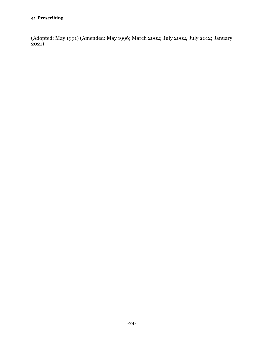(Adopted: May 1991) (Amended: May 1996; March 2002; July 2002, July 2012; January 2021)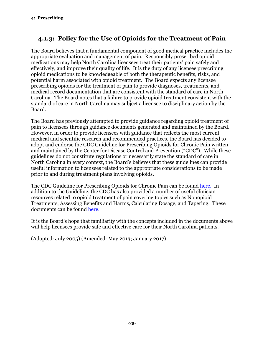## <span id="page-27-0"></span>**4.1.3: Policy for the Use of Opioids for the Treatment of Pain**

The Board believes that a fundamental component of good medical practice includes the appropriate evaluation and management of pain. Responsibly prescribed opioid medications may help North Carolina licensees treat their patients' pain safely and effectively, and improve their quality of life. It is the duty of any licensee prescribing opioid medications to be knowledgeable of both the therapeutic benefits, risks, and potential harm associated with opioid treatment. The Board expects any licensee prescribing opioids for the treatment of pain to provide diagnoses, treatments, and medical record documentation that are consistent with the standard of care in North Carolina. The Board notes that a failure to provide opioid treatment consistent with the standard of care in North Carolina may subject a licensee to disciplinary action by the Board.

The Board has previously attempted to provide guidance regarding opioid treatment of pain to licensees through guidance documents generated and maintained by the Board. However, in order to provide licensees with guidance that reflects the most current medical and scientific research and recommended practices, the Board has decided to adopt and endorse the CDC Guideline for Prescribing Opioids for Chronic Pain written and maintained by the Center for Disease Control and Prevention ("CDC"). While these guidelines do not constitute regulations or necessarily state the standard of care in North Carolina in every context, the Board's believes that these guidelines can provide useful information to licensees related to the appropriate considerations to be made prior to and during treatment plans involving opioids.

The CDC Guideline for Prescribing Opioids for Chronic Pain can be found [here.](https://www.cdc.gov/mmwr/volumes/65/rr/rr6501e1.htm) In addition to the Guideline, the CDC has also provided a number of useful clinician resources related to opioid treatment of pain covering topics such as Nonopioid Treatments, Assessing Benefits and Harms, Calculating Dosage, and Tapering. These documents can be found [here.](https://www.cdc.gov/drugoverdose/prescribing/resources.html)

It is the Board's hope that familiarity with the concepts included in the documents above will help licensees provide safe and effective care for their North Carolina patients.

(Adopted: July 2005) (Amended: May 2013; January 2017)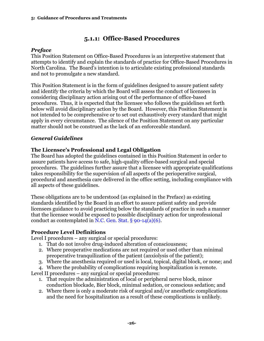## **5.1.1: Office-Based Procedures**

#### <span id="page-28-0"></span>*Preface*

This Position Statement on Office-Based Procedures is an interpretive statement that attempts to identify and explain the standards of practice for Office-Based Procedures in North Carolina. The Board's intention is to articulate existing professional standards and not to promulgate a new standard.

This Position Statement is in the form of guidelines designed to assure patient safety and identify the criteria by which the Board will assess the conduct of licensees in considering disciplinary action arising out of the performance of office-based procedures. Thus, it is expected that the licensee who follows the guidelines set forth below will avoid disciplinary action by the Board. However, this Position Statement is not intended to be comprehensive or to set out exhaustively every standard that might apply in every circumstance. The silence of the Position Statement on any particular matter should not be construed as the lack of an enforceable standard.

#### *General Guidelines*

#### **The Licensee's Professional and Legal Obligation**

The Board has adopted the guidelines contained in this Position Statement in order to assure patients have access to safe, high-quality office-based surgical and special procedures. The guidelines further assure that a licensee with appropriate qualifications takes responsibility for the supervision of all aspects of the perioperative surgical, procedural and anesthesia care delivered in the office setting, including compliance with all aspects of these guidelines.

These obligations are to be understood (as explained in the Preface) as existing standards identified by the Board in an effort to assure patient safety and provide licensees guidance to avoid practicing below the standards of practice in such a manner that the licensee would be exposed to possible disciplinary action for unprofessional conduct as contemplated in [N.C. Gen. Stat. § 90-14\(a\)\(6\).](https://www.ncleg.gov/EnactedLegislation/Statutes/HTML/BySection/Chapter_90/GS_90-14.html)

#### **Procedure Level Definitions**

Level I procedures – any surgical or special procedures:

- 1. That do not involve drug-induced alteration of consciousness;
- 2. Where preoperative medications are not required or used other than minimal preoperative tranquilization of the patient (anxiolysis of the patient);
- 3. Where the anesthesia required or used is local, topical, digital block, or none; and
- 4. Where the probability of complications requiring hospitalization is remote.

Level II procedures – any surgical or special procedures:

- 1. That require the administration of local or peripheral nerve block, minor conduction blockade, Bier block, minimal sedation, or conscious sedation; and
- 2. Where there is only a moderate risk of surgical and/or anesthetic complications and the need for hospitalization as a result of these complications is unlikely.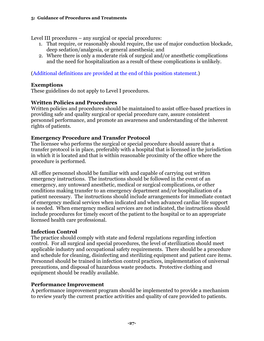Level III procedures – any surgical or special procedures:

- 1. That require, or reasonably should require, the use of major conduction blockade, deep sedation/analgesia, or general anesthesia; and
- 2. Where there is only a moderate risk of surgical and/or anesthetic complications and the need for hospitalization as a result of these complications is unlikely.

#### [\(Additional definitions are provided at the end of this position statement.\)](#page-38-0)

#### **Exemptions**

These guidelines do not apply to Level I procedures.

#### **Written Policies and Procedures**

Written policies and procedures should be maintained to assist office-based practices in providing safe and quality surgical or special procedure care, assure consistent personnel performance, and promote an awareness and understanding of the inherent rights of patients.

#### **Emergency Procedure and Transfer Protocol**

The licensee who performs the surgical or special procedure should assure that a transfer protocol is in place, preferably with a hospital that is licensed in the jurisdiction in which it is located and that is within reasonable proximity of the office where the procedure is performed.

All office personnel should be familiar with and capable of carrying out written emergency instructions. The instructions should be followed in the event of an emergency, any untoward anesthetic, medical or surgical complications, or other conditions making transfer to an emergency department and/or hospitalization of a patient necessary. The instructions should include arrangements for immediate contact of emergency medical services when indicated and when advanced cardiac life support is needed. When emergency medical services are not indicated, the instructions should include procedures for timely escort of the patient to the hospital or to an appropriate licensed health care professional.

#### **Infection Control**

The practice should comply with state and federal regulations regarding infection control. For all surgical and special procedures, the level of sterilization should meet applicable industry and occupational safety requirements. There should be a procedure and schedule for cleaning, disinfecting and sterilizing equipment and patient care items. Personnel should be trained in infection control practices, implementation of universal precautions, and disposal of hazardous waste products. Protective clothing and equipment should be readily available.

#### **Performance Improvement**

A performance improvement program should be implemented to provide a mechanism to review yearly the current practice activities and quality of care provided to patients.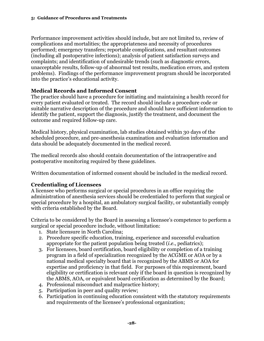Performance improvement activities should include, but are not limited to, review of complications and mortalities; the appropriateness and necessity of procedures performed; emergency transfers; reportable complications, and resultant outcomes (including all postoperative infections); analysis of patient satisfaction surveys and complaints; and identification of undesirable trends (such as diagnostic errors, unacceptable results, follow-up of abnormal test results, medication errors, and system problems). Findings of the performance improvement program should be incorporated into the practice's educational activity.

#### **Medical Records and Informed Consent**

The practice should have a procedure for initiating and maintaining a health record for every patient evaluated or treated. The record should include a procedure code or suitable narrative description of the procedure and should have sufficient information to identify the patient, support the diagnosis, justify the treatment, and document the outcome and required follow-up care.

Medical history, physical examination, lab studies obtained within 30 days of the scheduled procedure, and pre-anesthesia examination and evaluation information and data should be adequately documented in the medical record.

The medical records also should contain documentation of the intraoperative and postoperative monitoring required by these guidelines.

Written documentation of informed consent should be included in the medical record.

#### **Credentialing of Licensees**

A licensee who performs surgical or special procedures in an office requiring the administration of anesthesia services should be credentialed to perform that surgical or special procedure by a hospital, an ambulatory surgical facility, or substantially comply with criteria established by the Board.

Criteria to be considered by the Board in assessing a licensee's competence to perform a surgical or special procedure include, without limitation:

- 1. State licensure in North Carolina;
- 2. Procedure specific education, training, experience and successful evaluation appropriate for the patient population being treated (*i.e.*, pediatrics);
- 3. For licensees, board certification, board eligibility or completion of a training program in a field of specialization recognized by the ACGME or AOA or by a national medical specialty board that is recognized by the ABMS or AOA for expertise and proficiency in that field. For purposes of this requirement, board eligibility or certification is relevant only if the board in question is recognized by the ABMS, AOA, or equivalent board certification as determined by the Board;
- 4. Professional misconduct and malpractice history;
- 5. Participation in peer and quality review;
- 6. Participation in continuing education consistent with the statutory requirements and requirements of the licensee's professional organization;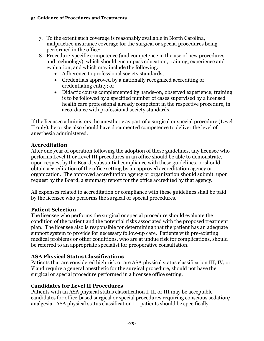- 7. To the extent such coverage is reasonably available in North Carolina, malpractice insurance coverage for the surgical or special procedures being performed in the office;
- 8. Procedure-specific competence (and competence in the use of new procedures and technology), which should encompass education, training, experience and evaluation, and which may include the following:
	- Adherence to professional society standards;
	- Credentials approved by a nationally recognized accrediting or credentialing entity; or
	- Didactic course complemented by hands-on, observed experience; training is to be followed by a specified number of cases supervised by a licensed health care professional already competent in the respective procedure, in accordance with professional society standards.

If the licensee administers the anesthetic as part of a surgical or special procedure (Level II only), he or she also should have documented competence to deliver the level of anesthesia administered.

#### **Accreditation**

After one year of operation following the adoption of these guidelines, any licensee who performs Level II or Level III procedures in an office should be able to demonstrate, upon request by the Board, substantial compliance with these guidelines, or should obtain accreditation of the office setting by an approved accreditation agency or organization. The approved accreditation agency or organization should submit, upon request by the Board, a summary report for the office accredited by that agency.

All expenses related to accreditation or compliance with these guidelines shall be paid by the licensee who performs the surgical or special procedures.

#### **Patient Selection**

The licensee who performs the surgical or special procedure should evaluate the condition of the patient and the potential risks associated with the proposed treatment plan. The licensee also is responsible for determining that the patient has an adequate support system to provide for necessary follow-up care. Patients with pre-existing medical problems or other conditions, who are at undue risk for complications, should be referred to an appropriate specialist for preoperative consultation.

#### **ASA Physical Status Classifications**

Patients that are considered high risk or are ASA physical status classification III, IV, or V and require a general anesthetic for the surgical procedure, should not have the surgical or special procedure performed in a licensee office setting.

#### C**andidates for Level II Procedures**

Patients with an ASA physical status classification I, II, or III may be acceptable candidates for office-based surgical or special procedures requiring conscious sedation/ analgesia. ASA physical status classification III patients should be specifically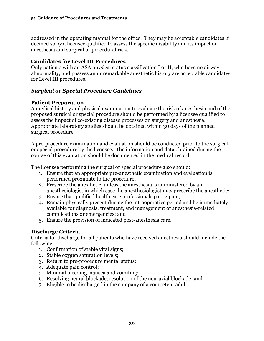addressed in the operating manual for the office. They may be acceptable candidates if deemed so by a licensee qualified to assess the specific disability and its impact on anesthesia and surgical or procedural risks.

#### **Candidates for Level III Procedures**

Only patients with an ASA physical status classification I or II, who have no airway abnormality, and possess an unremarkable anesthetic history are acceptable candidates for Level III procedures.

## *Surgical or Special Procedure Guidelines*

#### **Patient Preparation**

A medical history and physical examination to evaluate the risk of anesthesia and of the proposed surgical or special procedure should be performed by a licensee qualified to assess the impact of co-existing disease processes on surgery and anesthesia. Appropriate laboratory studies should be obtained within 30 days of the planned surgical procedure.

A pre-procedure examination and evaluation should be conducted prior to the surgical or special procedure by the licensee. The information and data obtained during the course of this evaluation should be documented in the medical record.

The licensee performing the surgical or special procedure also should:

- 1. Ensure that an appropriate pre-anesthetic examination and evaluation is performed proximate to the procedure;
- 2. Prescribe the anesthetic, unless the anesthesia is administered by an anesthesiologist in which case the anesthesiologist may prescribe the anesthetic;
- 3. Ensure that qualified health care professionals participate;
- 4. Remain physically present during the intraoperative period and be immediately available for diagnosis, treatment, and management of anesthesia-related complications or emergencies; and
- 5. Ensure the provision of indicated post-anesthesia care.

## **Discharge Criteria**

Criteria for discharge for all patients who have received anesthesia should include the following:

- 1. Confirmation of stable vital signs;
- 2. Stable oxygen saturation levels;
- 3. Return to pre-procedure mental status;
- 4. Adequate pain control;
- 5. Minimal bleeding, nausea and vomiting;
- 6. Resolving neural blockade, resolution of the neuraxial blockade; and
- 7. Eligible to be discharged in the company of a competent adult.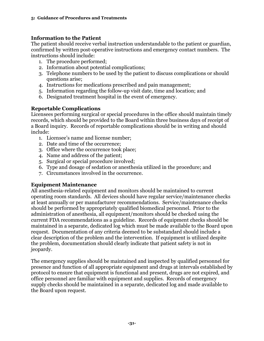#### **Information to the Patient**

The patient should receive verbal instruction understandable to the patient or guardian, confirmed by written post-operative instructions and emergency contact numbers. The instructions should include:

- 1. The procedure performed;
- 2. Information about potential complications;
- 3. Telephone numbers to be used by the patient to discuss complications or should questions arise;
- 4. Instructions for medications prescribed and pain management;
- 5. Information regarding the follow-up visit date, time and location; and
- 6. Designated treatment hospital in the event of emergency.

## **Reportable Complications**

Licensees performing surgical or special procedures in the office should maintain timely records, which should be provided to the Board within three business days of receipt of a Board inquiry. Records of reportable complications should be in writing and should include:

- 1. Licensee's name and license number;
- 2. Date and time of the occurrence;
- 3. Office where the occurrence took place;
- 4. Name and address of the patient;
- 5. Surgical or special procedure involved;
- 6. Type and dosage of sedation or anesthesia utilized in the procedure; and
- 7. Circumstances involved in the occurrence.

#### **Equipment Maintenance**

All anesthesia-related equipment and monitors should be maintained to current operating room standards. All devices should have regular service/maintenance checks at least annually or per manufacturer recommendations. Service/maintenance checks should be performed by appropriately qualified biomedical personnel. Prior to the administration of anesthesia, all equipment/monitors should be checked using the current FDA recommendations as a guideline. Records of equipment checks should be maintained in a separate, dedicated log which must be made available to the Board upon request. Documentation of any criteria deemed to be substandard should include a clear description of the problem and the intervention. If equipment is utilized despite the problem, documentation should clearly indicate that patient safety is not in jeopardy.

The emergency supplies should be maintained and inspected by qualified personnel for presence and function of all appropriate equipment and drugs at intervals established by protocol to ensure that equipment is functional and present, drugs are not expired, and office personnel are familiar with equipment and supplies. Records of emergency supply checks should be maintained in a separate, dedicated log and made available to the Board upon request.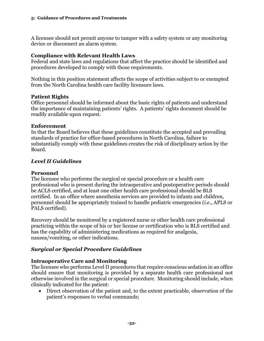A licensee should not permit anyone to tamper with a safety system or any monitoring device or disconnect an alarm system.

#### **Compliance with Relevant Health Laws**

Federal and state laws and regulations that affect the practice should be identified and procedures developed to comply with those requirements.

Nothing in this position statement affects the scope of activities subject to or exempted from the North Carolina health care facility licensure laws.

#### **Patient Rights**

Office personnel should be informed about the basic rights of patients and understand the importance of maintaining patients' rights. A patients' rights document should be readily available upon request.

#### **Enforcement**

In that the Board believes that these guidelines constitute the accepted and prevailing standards of practice for office-based procedures in North Carolina, failure to substantially comply with these guidelines creates the risk of disciplinary action by the Board.

#### *Level II Guidelines*

#### **Personnel**

The licensee who performs the surgical or special procedure or a health care professional who is present during the intraoperative and postoperative periods should be ACLS certified, and at least one other health care professional should be BLS certified. In an office where anesthesia services are provided to infants and children, personnel should be appropriately trained to handle pediatric emergencies (*i.e.*, APLS or PALS certified).

Recovery should be monitored by a registered nurse or other health care professional practicing within the scope of his or her license or certification who is BLS certified and has the capability of administering medications as required for analgesia, nausea/vomiting, or other indications.

## *Surgical or Special Procedure Guidelines*

#### **Intraoperative Care and Monitoring**

The licensee who performs Level II procedures that require conscious sedation in an office should ensure that monitoring is provided by a separate health care professional not otherwise involved in the surgical or special procedure. Monitoring should include, when clinically indicated for the patient:

• Direct observation of the patient and, to the extent practicable, observation of the patient's responses to verbal commands;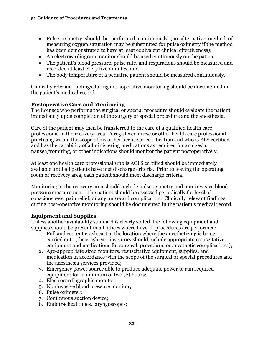- Pulse oximetry should be performed continuously (an alternative method of measuring oxygen saturation may be substituted for pulse oximetry if the method has been demonstrated to have at least equivalent clinical effectiveness);
- An electrocardiogram monitor should be used continuously on the patient;
- The patient's blood pressure, pulse rate, and respirations should be measured and recorded at least every five minutes; and
- The body temperature of a pediatric patient should be measured continuously.

Clinically relevant findings during intraoperative monitoring should be documented in the patient's medical record.

#### **Postoperative Care and Monitoring**

The licensee who performs the surgical or special procedure should evaluate the patient immediately upon completion of the surgery or special procedure and the anesthesia.

Care of the patient may then be transferred to the care of a qualified health care professional in the recovery area. A registered nurse or other health care professional practicing within the scope of his or her license or certification and who is BLS certified and has the capability of administering medications as required for analgesia, nausea/vomiting, or other indications should monitor the patient postoperatively.

At least one health care professional who is ACLS certified should be immediately available until all patients have met discharge criteria. Prior to leaving the operating room or recovery area, each patient should meet discharge criteria.

Monitoring in the recovery area should include pulse oximetry and non-invasive blood pressure measurement. The patient should be assessed periodically for level of consciousness, pain relief, or any untoward complication. Clinically relevant findings during post-operative monitoring should be documented in the patient's medical record.

#### **Equipment and Supplies**

Unless another availability standard is clearly stated, the following equipment and supplies should be present in all offices where Level II procedures are performed:

- 1. Full and current crash cart at the location where the anesthetizing is being carried out. (the crash cart inventory should include appropriate resuscitative equipment and medications for surgical, procedural or anesthetic complications);
- 2. Age-appropriate sized monitors, resuscitative equipment, supplies, and medication in accordance with the scope of the surgical or special procedures and the anesthesia services provided;
- 3. Emergency power source able to produce adequate power to run required equipment for a minimum of two (2) hours;
- 4. Electrocardiographic monitor;
- 5. Noninvasive blood pressure monitor;
- 6. Pulse oximeter;
- 7. Continuous suction device;
- 8. Endotracheal tubes, laryngoscopes;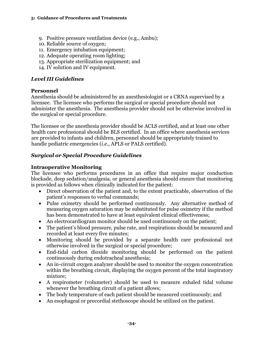- 9. Positive pressure ventilation device (e.g., Ambu);
- 10. Reliable source of oxygen;
- 11. Emergency intubation equipment;
- 12. Adequate operating room lighting;
- 13. Appropriate sterilization equipment; and
- 14. IV solution and IV equipment.

### *Level III Guidelines*

#### **Personnel**

Anesthesia should be administered by an anesthesiologist or a CRNA supervised by a licensee. The licensee who performs the surgical or special procedure should not administer the anesthesia. The anesthesia provider should not be otherwise involved in the surgical or special procedure.

The licensee or the anesthesia provider should be ACLS certified, and at least one other health care professional should be BLS certified. In an office where anesthesia services are provided to infants and children, personnel should be appropriately trained to handle pediatric emergencies (*i.e.*, APLS or PALS certified).

### *Surgical or Special Procedure Guidelines*

### **Intraoperative Monitoring**

The licensee who performs procedures in an office that require major conduction blockade, deep sedation/analgesia, or general anesthesia should ensure that monitoring is provided as follows when clinically indicated for the patient:

- Direct observation of the patient and, to the extent practicable, observation of the patient's responses to verbal commands;
- Pulse oximetry should be performed continuously. Any alternative method of measuring oxygen saturation may be substituted for pulse oximetry if the method has been demonstrated to have at least equivalent clinical effectiveness;
- An electrocardiogram monitor should be used continuously on the patient;
- The patient's blood pressure, pulse rate, and respirations should be measured and recorded at least every five minutes;
- Monitoring should be provided by a separate health care professional not otherwise involved in the surgical or special procedure;
- End-tidal carbon dioxide monitoring should be performed on the patient continuously during endotracheal anesthesia;
- An in-circuit oxygen analyzer should be used to monitor the oxygen concentration within the breathing circuit, displaying the oxygen percent of the total inspiratory mixture;
- A respirometer (volumeter) should be used to measure exhaled tidal volume whenever the breathing circuit of a patient allows;
- The body temperature of each patient should be measured continuously; and
- An esophageal or precordial stethoscope should be utilized on the patient.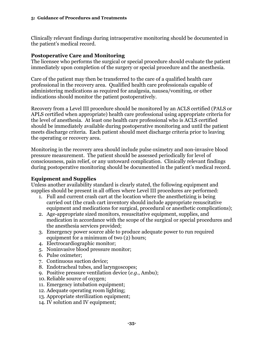Clinically relevant findings during intraoperative monitoring should be documented in the patient's medical record.

#### **Postoperative Care and Monitoring**

The licensee who performs the surgical or special procedure should evaluate the patient immediately upon completion of the surgery or special procedure and the anesthesia.

Care of the patient may then be transferred to the care of a qualified health care professional in the recovery area. Qualified health care professionals capable of administering medications as required for analgesia, nausea/vomiting, or other indications should monitor the patient postoperatively.

Recovery from a Level III procedure should be monitored by an ACLS certified (PALS or APLS certified when appropriate) health care professional using appropriate criteria for the level of anesthesia. At least one health care professional who is ACLS certified should be immediately available during postoperative monitoring and until the patient meets discharge criteria. Each patient should meet discharge criteria prior to leaving the operating or recovery area.

Monitoring in the recovery area should include pulse oximetry and non-invasive blood pressure measurement. The patient should be assessed periodically for level of consciousness, pain relief, or any untoward complication. Clinically relevant findings during postoperative monitoring should be documented in the patient's medical record.

#### **Equipment and Supplies**

Unless another availability standard is clearly stated, the following equipment and supplies should be present in all offices where Level III procedures are performed:

- 1. Full and current crash cart at the location where the anesthetizing is being carried out (the crash cart inventory should include appropriate resuscitative equipment and medications for surgical, procedural or anesthetic complications);
- 2. Age-appropriate sized monitors, resuscitative equipment, supplies, and medication in accordance with the scope of the surgical or special procedures and the anesthesia services provided;
- 3. Emergency power source able to produce adequate power to run required equipment for a minimum of two (2) hours;
- 4. Electrocardiographic monitor;
- 5. Noninvasive blood pressure monitor;
- 6. Pulse oximeter;
- 7. Continuous suction device;
- 8. Endotracheal tubes, and laryngoscopes;
- 9. Positive pressure ventilation device (*e.g*., Ambu);
- 10. Reliable source of oxygen;
- 11. Emergency intubation equipment;
- 12. Adequate operating room lighting;
- 13. Appropriate sterilization equipment;
- 14. IV solution and IV equipment;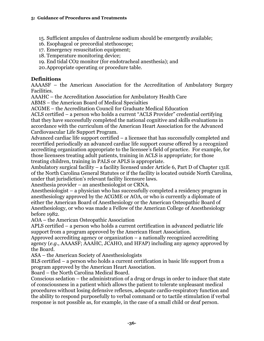- 15. Sufficient ampules of dantrolene sodium should be emergently available;
- 16. Esophageal or precordial stethoscope;
- 17. Emergency resuscitation equipment;
- 18. Temperature monitoring device;
- 19. End tidal CO2 monitor (for endotracheal anesthesia); and
- 20.Appropriate operating or procedure table.

#### **Definitions**

AAAASF – the American Association for the Accreditation of Ambulatory Surgery Facilities.

AAAHC – the Accreditation Association for Ambulatory Health Care

ABMS – the American Board of Medical Specialties

ACGME – the Accreditation Council for Graduate Medical Education

ACLS certified – a person who holds a current "ACLS Provider" credential certifying that they have successfully completed the national cognitive and skills evaluations in accordance with the curriculum of the American Heart Association for the Advanced Cardiovascular Life Support Program.

Advanced cardiac life support certified – a licensee that has successfully completed and recertified periodically an advanced cardiac life support course offered by a recognized accrediting organization appropriate to the licensee's field of practice. For example, for those licensees treating adult patients, training in ACLS is appropriate; for those treating children, training in PALS or APLS is appropriate.

Ambulatory surgical facility – a facility licensed under Article 6, Part D of Chapter 131E of the North Carolina General Statutes or if the facility is located outside North Carolina, under that jurisdiction's relevant facility licensure laws.

Anesthesia provider – an anesthesiologist or CRNA.

Anesthesiologist – a physician who has successfully completed a residency program in anesthesiology approved by the ACGME or AOA, or who is currently a diplomate of either the American Board of Anesthesiology or the American Osteopathic Board of Anesthesiology, or who was made a Fellow of the American College of Anesthesiology before 1982.

AOA – the American Osteopathic Association

APLS certified – a person who holds a current certification in advanced pediatric life support from a program approved by the American Heart Association.

Approved accrediting agency or organization  $-$  a nationally recognized accrediting agency (*e.g.*, AAAASF; AAAHC, JCAHO, and HFAP) including any agency approved by the Board.

ASA – the American Society of Anesthesiologists

BLS certified – a person who holds a current certification in basic life support from a program approved by the American Heart Association.

Board – the North Carolina Medical Board.

Conscious sedation – the administration of a drug or drugs in order to induce that state of consciousness in a patient which allows the patient to tolerate unpleasant medical procedures without losing defensive reflexes, adequate cardio-respiratory function and the ability to respond purposefully to verbal command or to tactile stimulation if verbal response is not possible as, for example, in the case of a small child or deaf person.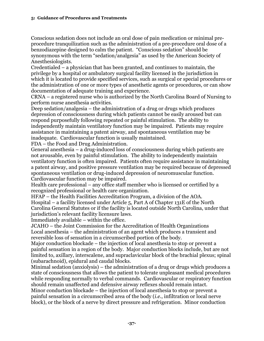Conscious sedation does not include an oral dose of pain medication or minimal preprocedure tranquilization such as the administration of a pre-procedure oral dose of a benzodiazepine designed to calm the patient. "Conscious sedation" should be synonymous with the term "sedation/analgesia" as used by the American Society of Anesthesiologists.

Credentialed – a physician that has been granted, and continues to maintain, the privilege by a hospital or ambulatory surgical facility licensed in the jurisdiction in which it is located to provide specified services, such as surgical or special procedures or the administration of one or more types of anesthetic agents or procedures, or can show documentation of adequate training and experience.

CRNA – a registered nurse who is authorized by the North Carolina Board of Nursing to perform nurse anesthesia activities.

Deep sedation/analgesia – the administration of a drug or drugs which produces depression of consciousness during which patients cannot be easily aroused but can respond purposefully following repeated or painful stimulation. The ability to independently maintain ventilatory function may be impaired. Patients may require assistance in maintaining a patent airway, and spontaneous ventilation may be inadequate. Cardiovascular function is usually maintained.

FDA – the Food and Drug Administration.

General anesthesia – a drug-induced loss of consciousness during which patients are not arousable, even by painful stimulation. The ability to independently maintain ventilatory function is often impaired. Patients often require assistance in maintaining a patent airway, and positive pressure ventilation may be required because of depressed spontaneous ventilation or drug-induced depression of neuromuscular function. Cardiovascular function may be impaired.

Health care professional – any office staff member who is licensed or certified by a recognized professional or health care organization.

HFAP – the Health Facilities Accreditation Program, a division of the AOA. Hospital – a facility licensed under Article 5, Part A of Chapter 131E of the North Carolina General Statutes or if the facility is located outside North Carolina, under that jurisdiction's relevant facility licensure laws.

Immediately available – within the office.

JCAHO – the Joint Commission for the Accreditation of Health Organizations Local anesthesia – the administration of an agent which produces a transient and reversible loss of sensation in a circumscribed portion of the body.

Major conduction blockade – the injection of local anesthesia to stop or prevent a painful sensation in a region of the body. Major conduction blocks include, but are not limited to, axillary, interscalene, and supraclavicular block of the brachial plexus; spinal (subarachnoid), epidural and caudal blocks.

Minimal sedation (anxiolysis) – the administration of a drug or drugs which produces a state of consciousness that allows the patient to tolerate unpleasant medical procedures while responding normally to verbal commands. Cardiovascular or respiratory function should remain unaffected and defensive airway reflexes should remain intact.

Minor conduction blockade – the injection of local anesthesia to stop or prevent a painful sensation in a circumscribed area of the body (*i.e.*, infiltration or local nerve block), or the block of a nerve by direct pressure and refrigeration. Minor conduction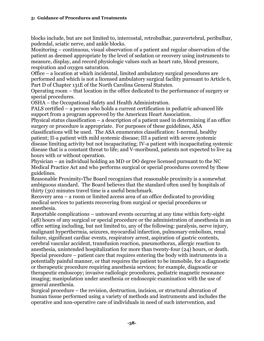blocks include, but are not limited to, intercostal, retrobulbar, paravertebral, peribulbar, pudendal, sciatic nerve, and ankle blocks.

Monitoring – continuous, visual observation of a patient and regular observation of the patient as deemed appropriate by the level of sedation or recovery using instruments to measure, display, and record physiologic values such as heart rate, blood pressure, respiration and oxygen saturation.

Office – a location at which incidental, limited ambulatory surgical procedures are performed and which is not a licensed ambulatory surgical facility pursuant to Article 6, Part D of Chapter 131E of the North Carolina General Statutes.

Operating room – that location in the office dedicated to the performance of surgery or special procedures.

OSHA – the Occupational Safety and Health Administration.

PALS certified – a person who holds a current certification in pediatric advanced life support from a program approved by the American Heart Association.

Physical status classification – a description of a patient used in determining if an office surgery or procedure is appropriate. For purposes of these guidelines, ASA

classifications will be used. The ASA enumerates classification: I-normal, healthy patient; II-a patient with mild systemic disease; III a patient with severe systemic disease limiting activity but not incapacitating; IV-a patient with incapacitating systemic disease that is a constant threat to life; and V-moribund, patients not expected to live 24 hours with or without operation.

Physician – an individual holding an MD or DO degree licensed pursuant to the NC Medical Practice Act and who performs surgical or special procedures covered by these guidelines.

Reasonable Proximity**-**The Board recognizes that reasonable proximity is a somewhat ambiguous standard. The Board believes that the standard often used by hospitals of thirty (30) minutes travel time is a useful benchmark.

Recovery area – a room or limited access area of an office dedicated to providing medical services to patients recovering from surgical or special procedures or anesthesia.

Reportable complications – untoward events occurring at any time within forty-eight (48) hours of any surgical or special procedure or the administration of anesthesia in an office setting including, but not limited to, any of the following: paralysis, nerve injury, malignant hyperthermia, seizures, myocardial infarction, pulmonary embolism, renal failure, significant cardiac events, respiratory arrest, aspiration of gastric contents, cerebral vascular accident, transfusion reaction, pneumothorax, allergic reaction to anesthesia, unintended hospitalization for more than twenty-four (24) hours, or death. Special procedure – patient care that requires entering the body with instruments in a potentially painful manner, or that requires the patient to be immobile, for a diagnostic or therapeutic procedure requiring anesthesia services; for example, diagnostic or therapeutic endoscopy; invasive radiologic procedures, pediatric magnetic resonance imaging; manipulation under anesthesia or endoscopic examination with the use of general anesthesia.

Surgical procedure – the revision, destruction, incision, or structural alteration of human tissue performed using a variety of methods and instruments and includes the operative and non-operative care of individuals in need of such intervention, and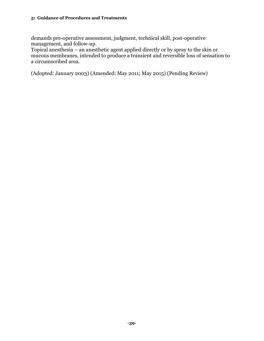#### **5: Guidance of Procedures and Treatments**

demands pre-operative assessment, judgment, technical skill, post-operative management, and follow-up.

Topical anesthesia – an anesthetic agent applied directly or by spray to the skin or mucous membranes, intended to produce a transient and reversible loss of sensation to a circumscribed area.

(Adopted: January 2003) (Amended: May 2011; May 2015) (Pending Review)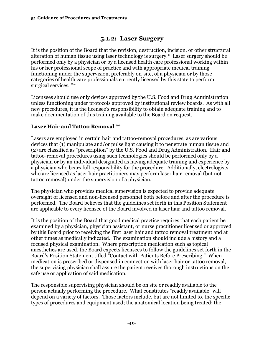### **5.1.2: Laser Surgery**

It is the position of the Board that the revision, destruction, incision, or other structural alteration of human tissue using laser technology is surgery.\* Laser surgery should be performed only by a physician or by a licensed health care professional working within his or her professional scope of practice and with appropriate medical training functioning under the supervision, preferably on-site, of a physician or by those categories of health care professionals currently licensed by this state to perform surgical services. \*\*

Licensees should use only devices approved by the U.S. Food and Drug Administration unless functioning under protocols approved by institutional review boards. As with all new procedures, it is the licensee's responsibility to obtain adequate training and to make documentation of this training available to the Board on request.

### **Laser Hair and Tattoo Removal** \*\*

Lasers are employed in certain hair and tattoo-removal procedures, as are various devices that (1) manipulate and/or pulse light causing it to penetrate human tissue and (2) are classified as "prescription" by the U.S. Food and Drug Administration. Hair and tattoo-removal procedures using such technologies should be performed only by a physician or by an individual designated as having adequate training and experience by a physician who bears full responsibility for the procedure. Additionally, electrologists who are licensed as laser hair practitioners may perform laser hair removal (but not tattoo removal) under the supervision of a physician.

The physician who provides medical supervision is expected to provide adequate oversight of licensed and non-licensed personnel both before and after the procedure is performed. The Board believes that the guidelines set forth in this Position Statement are applicable to every licensee of the Board involved in laser hair and tattoo removal.

It is the position of the Board that good medical practice requires that each patient be examined by a physician, physician assistant, or nurse practitioner licensed or approved by this Board prior to receiving the first laser hair and tattoo removal treatment and at other times as medically indicated. The examination should include a history and a focused physical examination. Where prescription medication such as topical anesthetics are used, the Board expects licensees to follow the guidelines set forth in the Board's Position Statement titled "Contact with Patients Before Prescribing." When medication is prescribed or dispensed in connection with laser hair or tattoo removal, the supervising physician shall assure the patient receives thorough instructions on the safe use or application of said medication.

The responsible supervising physician should be on site or readily available to the person actually performing the procedure. What constitutes "readily available" will depend on a variety of factors. Those factors include, but are not limited to, the specific types of procedures and equipment used; the anatomical location being treated; the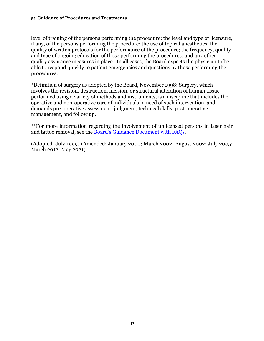#### **5: Guidance of Procedures and Treatments**

level of training of the persons performing the procedure; the level and type of licensure, if any, of the persons performing the procedure; the use of topical anesthetics; the quality of written protocols for the performance of the procedure; the frequency, quality and type of ongoing education of those performing the procedures; and any other quality assurance measures in place. In all cases, the Board expects the physician to be able to respond quickly to patient emergencies and questions by those performing the procedures.

\*Definition of surgery as adopted by the Board, November 1998: Surgery, which involves the revision, destruction, incision, or structural alteration of human tissue performed using a variety of methods and instruments, is a discipline that includes the operative and non-operative care of individuals in need of such intervention, and demands pre-operative assessment, judgment, technical skills, post-operative management, and follow up.

\*\*For more information regarding the involvement of unlicensed persons in laser hair and tattoo removal, see the [Board's Guidance Document with FAQs.](http://www.ncmedboard.org/images/uploads/other_pdfs/LaserGuidanceDoc.pdf)

(Adopted: July 1999) (Amended: January 2000; March 2002; August 2002; July 2005; March 2012; May 2021)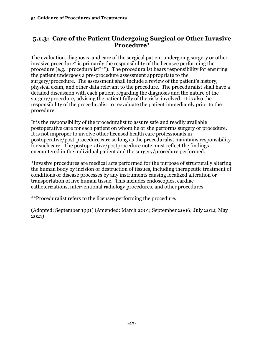### **5.1.3: Care of the Patient Undergoing Surgical or Other Invasive Procedure\***

The evaluation, diagnosis, and care of the surgical patient undergoing surgery or other invasive procedure\* is primarily the responsibility of the licensee performing the procedure (e.g. "proceduralist"\*\*). The proceduralist bears responsibility for ensuring the patient undergoes a pre-procedure assessment appropriate to the surgery/procedure. The assessment shall include a review of the patient's history, physical exam, and other data relevant to the procedure. The proceduralist shall have a detailed discussion with each patient regarding the diagnosis and the nature of the surgery/procedure, advising the patient fully of the risks involved. It is also the responsibility of the proceduralist to reevaluate the patient immediately prior to the procedure.

It is the responsibility of the proceduralist to assure safe and readily available postoperative care for each patient on whom he or she performs surgery or procedure. It is not improper to involve other licensed health care professionals in postoperative/post-procedure care so long as the proceduralist maintains responsibility for such care. The postoperative/postprocedure note must reflect the findings encountered in the individual patient and the surgery/procedure performed.

\*Invasive procedures are medical acts performed for the purpose of structurally altering the human body by incision or destruction of tissues, including therapeutic treatment of conditions or disease processes by any instruments causing localized alteration or transportation of live human tissue. This includes endoscopies, cardiac catheterizations, interventional radiology procedures, and other procedures.

\*\*Proceduralist refers to the licensee performing the procedure.

(Adopted: September 1991) (Amended: March 2001; September 2006; July 2012; May 2021)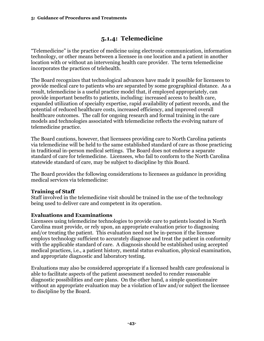# **5.1.4: Telemedicine**

"Telemedicine" is the practice of medicine using electronic communication, information technology, or other means between a licensee in one location and a patient in another location with or without an intervening health care provider. The term telemedicine incorporates the practices of telehealth.

The Board recognizes that technological advances have made it possible for licensees to provide medical care to patients who are separated by some geographical distance. As a result, telemedicine is a useful practice model that, if employed appropriately, can provide important benefits to patients, including: increased access to health care, expanded utilization of specialty expertise, rapid availability of patient records, and the potential of reduced healthcare costs, increased efficiency, and improved overall healthcare outcomes. The call for ongoing research and formal training in the care models and technologies associated with telemedicine reflects the evolving nature of telemedicine practice.

The Board cautions, however, that licensees providing care to North Carolina patients via telemedicine will be held to the same established standard of care as those practicing in traditional in-person medical settings. The Board does not endorse a separate standard of care for telemedicine. Licensees, who fail to conform to the North Carolina statewide standard of care, may be subject to discipline by this Board.

The Board provides the following considerations to licensees as guidance in providing medical services via telemedicine:

#### **Training of Staff**

Staff involved in the telemedicine visit should be trained in the use of the technology being used to deliver care and competent in its operation.

### **Evaluations and Examinations**

Licensees using telemedicine technologies to provide care to patients located in North Carolina must provide, or rely upon, an appropriate evaluation prior to diagnosing and/or treating the patient. This evaluation need not be in-person if the licensee employs technology sufficient to accurately diagnose and treat the patient in conformity with the applicable standard of care. A diagnosis should be established using accepted medical practices, i.e., a patient history, mental status evaluation, physical examination, and appropriate diagnostic and laboratory testing.

Evaluations may also be considered appropriate if a licensed health care professional is able to facilitate aspects of the patient assessment needed to render reasonable diagnostic possibilities and care plans. On the other hand, a simple questionnaire without an appropriate evaluation may be a violation of law and/or subject the licensee to discipline by the Board.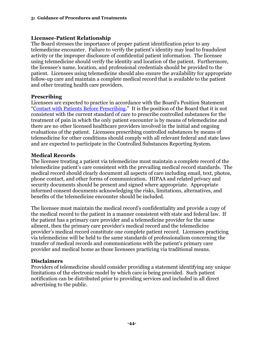#### **Licensee-Patient Relationship**

The Board stresses the importance of proper patient identification prior to any telemedicine encounter. Failure to verify the patient's identity may lead to fraudulent activity or the improper disclosure of confidential patient information. The licensee using telemedicine should verify the identity and location of the patient. Furthermore, the licensee's name, location, and professional credentials should be provided to the patient. Licensees using telemedicine should also ensure the availability for appropriate follow-up care and maintain a complete medical record that is available to the patient and other treating health care providers.

### **Prescribing**

Licensees are expected to practice in accordance with the Board's Position Statement ["Contact with Patients Before Prescribing.](https://www.ncmedboard.org/resources-information/professional-resources/laws-rules-position-statements/position-statements/contact_with_patients_before_prescribing)" It is the position of the Board that it is not consistent with the current standard of care to prescribe controlled substances for the treatment of pain in which the only patient encounter is by means of telemedicine and there are no other licensed healthcare providers involved in the initial and ongoing evaluations of the patient. Licensees prescribing controlled substances by means of telemedicine for other conditions should comply with all relevant federal and state laws and are expected to participate in the Controlled Substances Reporting System.

#### **Medical Records**

The licensee treating a patient via telemedicine must maintain a complete record of the telemedicine patient's care consistent with the prevailing medical record standards. The medical record should clearly document all aspects of care including email, text, photos, phone contact, and other forms of communication. HIPAA and related privacy and security documents should be present and signed where appropriate. Appropriate informed consent documents acknowledging the risks, limitations, alternatives, and benefits of the telemedicine encounter should be included.

The licensee must maintain the medical record's confidentiality and provide a copy of the medical record to the patient in a manner consistent with state and federal law. If the patient has a primary care provider and a telemedicine provider for the same ailment, then the primary care provider's medical record and the telemedicine provider's medical record constitute one complete patient record. Licensees practicing via telemedicine will be held to the same standards of professionalism concerning the transfer of medical records and communications with the patient's primary care provider and medical home as those licensees practicing via traditional means.

#### **Disclaimers**

Providers of telemedicine should consider providing a statement identifying any unique limitations of the electronic model by which care is being provided. Such patient notification can be distributed prior to providing services and included in all direct advertising to the public.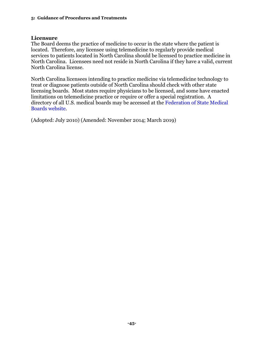#### **Licensure**

The Board deems the practice of medicine to occur in the state where the patient is located. Therefore, any licensee using telemedicine to regularly provide medical services to patients located in North Carolina should be licensed to practice medicine in North Carolina. Licensees need not reside in North Carolina if they have a valid, current North Carolina license.

North Carolina licensees intending to practice medicine via telemedicine technology to treat or diagnose patients outside of North Carolina should check with other state licensing boards. Most states require physicians to be licensed, and some have enacted limitations on telemedicine practice or require or offer a special registration. A directory of all U.S. medical boards may be accessed at the [Federation of State Medical](http://www.fsmb.org/directory_smb.html)  [Boards website.](http://www.fsmb.org/directory_smb.html)

(Adopted: July 2010) (Amended: November 2014; March 2019)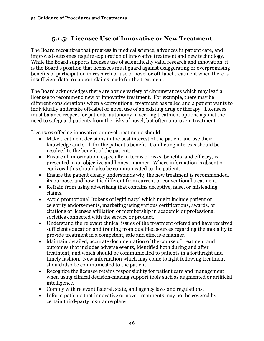## **5.1.5: Licensee Use of Innovative or New Treatment**

The Board recognizes that progress in medical science, advances in patient care, and improved outcomes require exploration of innovative treatment and new technology. While the Board supports licensee use of scientifically valid research and innovation, it is the Board's position that licensees must guard against exaggerating or overpromising benefits of participation in research or use of novel or off-label treatment when there is insufficient data to support claims made for the treatment.

The Board acknowledges there are a wide variety of circumstances which may lead a licensee to recommend new or innovative treatment. For example, there may be different considerations when a conventional treatment has failed and a patient wants to individually undertake off-label or novel use of an existing drug or therapy. Licensees must balance respect for patients' autonomy in seeking treatment options against the need to safeguard patients from the risks of novel, but often unproven, treatment.

Licensees offering innovative or novel treatments should:

- Make treatment decisions in the best interest of the patient and use their knowledge and skill for the patient's benefit. Conflicting interests should be resolved to the benefit of the patient.
- Ensure all information, especially in terms of risks, benefits, and efficacy, is presented in an objective and honest manner. Where information is absent or equivocal this should also be communicated to the patient.
- Ensure the patient clearly understands why the new treatment is recommended, its purpose, and how it is different from current or conventional treatment.
- Refrain from using advertising that contains deceptive, false, or misleading claims.
- Avoid promotional "tokens of legitimacy" which might include patient or celebrity endorsements, marketing using various certifications, awards, or citations of licensee affiliation or membership in academic or professional societies connected with the service or product.
- Understand the relevant clinical issues of the treatment offered and have received sufficient education and training from qualified sources regarding the modality to provide treatment in a competent, safe and effective manner.
- Maintain detailed, accurate documentation of the course of treatment and outcomes that includes adverse events, identified both during and after treatment, and which should be communicated to patients in a forthright and timely fashion. New information which may come to light following treatment should also be communicated to the patient.
- Recognize the licensee retains responsibility for patient care and management when using clinical decision-making support tools such as augmented or artificial intelligence.
- Comply with relevant federal, state, and agency laws and regulations.
- Inform patients that innovative or novel treatments may not be covered by certain third-party insurance plans.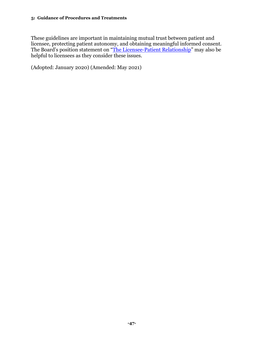#### **5: Guidance of Procedures and Treatments**

These guidelines are important in maintaining mutual trust between patient and licensee, protecting patient autonomy, and obtaining meaningful informed consent. The Board's position statement on ["The Licensee-Patient Relationship"](https://www.ncmedboard.org/resources-information/professional-resources/laws-rules-position-statements/position-statements/the_licensee-patient_relationship) may also be helpful to licensees as they consider these issues.

(Adopted: January 2020) (Amended: May 2021)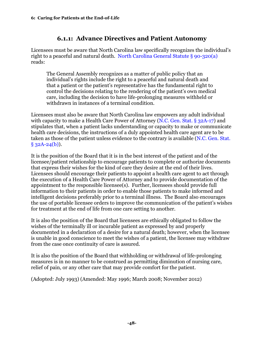# **6.1.1: Advance Directives and Patient Autonomy**

Licensees must be aware that North Carolina law specifically recognizes the individual's right to a peaceful and natural death. [North Carolina General Statute § 90-320\(a\)](https://www.ncleg.gov/EnactedLegislation/Statutes/HTML/BySection/Chapter_90/GS_90-320.html) reads:

The General Assembly recognizes as a matter of public policy that an individual's rights include the right to a peaceful and natural death and that a patient or the patient's representative has the fundamental right to control the decisions relating to the rendering of the patient's own medical care, including the decision to have life-prolonging measures withheld or withdrawn in instances of a terminal condition.

Licensees must also be aware that North Carolina law empowers any adult individual with capacity to make a Health Care Power of Attorney [\(N.C. Gen. Stat. § 32A-17\)](https://www.ncleg.gov/EnactedLegislation/Statutes/HTML/BySection/Chapter_32A/GS_32A-17.html) and stipulates that, when a patient lacks understanding or capacity to make or communicate health care decisions, the instructions of a duly appointed health care agent are to be taken as those of the patient unless evidence to the contrary is available [\(N.C. Gen. Stat.](https://www.ncleg.gov/EnactedLegislation/Statutes/HTML/BySection/Chapter_32A/GS_32A-24.html)   $§ 32A-24(b).$ 

It is the position of the Board that it is in the best interest of the patient and of the licensee/patient relationship to encourage patients to complete or authorize documents that express their wishes for the kind of care they desire at the end of their lives. Licensees should encourage their patients to appoint a health care agent to act through the execution of a Health Care Power of Attorney and to provide documentation of the appointment to the responsible licensee(s). Further, licensees should provide full information to their patients in order to enable those patients to make informed and intelligent decisions preferably prior to a terminal illness. The Board also encourages the use of portable licensee orders to improve the communication of the patient's wishes for treatment at the end of life from one care setting to another.

It is also the position of the Board that licensees are ethically obligated to follow the wishes of the terminally ill or incurable patient as expressed by and properly documented in a declaration of a desire for a natural death; however, when the licensee is unable in good conscience to meet the wishes of a patient, the licensee may withdraw from the case once continuity of care is assured.

It is also the position of the Board that withholding or withdrawal of life-prolonging measures is in no manner to be construed as permitting diminution of nursing care, relief of pain, or any other care that may provide comfort for the patient.

(Adopted: July 1993) (Amended: May 1996; March 2008; November 2012)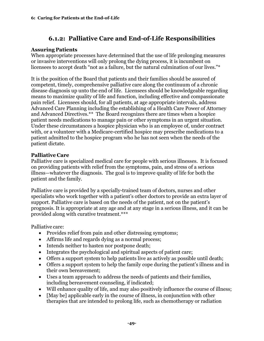# **6.1.2: Palliative Care and End-of-Life Responsibilities**

#### **Assuring Patients**

When appropriate processes have determined that the use of life prolonging measures or invasive interventions will only prolong the dying process, it is incumbent on licensees to accept death "not as a failure, but the natural culmination of our lives."\*

It is the position of the Board that patients and their families should be assured of competent, timely, comprehensive palliative care along the continuum of a chronic disease diagnosis up unto the end of life. Licensees should be knowledgeable regarding means to maximize quality of life and function, including effective and compassionate pain relief. Licensees should, for all patients, at age appropriate intervals, address Advanced Care Planning including the establishing of a Health Care Power of Attorney and Advanced Directives.\*\* The Board recognizes there are times when a hospice patient needs medications to manage pain or other symptoms in an urgent situation. Under these circumstances a hospice physician who is an employee of, under contract with, or a volunteer with a Medicare-certified hospice may prescribe medications to a patient admitted to the hospice program who he has not seen when the needs of the patient dictate.

#### **Palliative Care**

Palliative care is specialized medical care for people with serious illnesses. It is focused on providing patients with relief from the symptoms, pain, and stress of a serious illness—whatever the diagnosis. The goal is to improve quality of life for both the patient and the family.

Palliative care is provided by a specially-trained team of doctors, nurses and other specialists who work together with a patient's other doctors to provide an extra layer of support. Palliative care is based on the needs of the patient, not on the patient's prognosis. It is appropriate at any age and at any stage in a serious illness, and it can be provided along with curative treatment.\*\*\*

Palliative care:

- Provides relief from pain and other distressing symptoms;
- Affirms life and regards dying as a normal process;
- Intends neither to hasten nor postpone death;
- Integrates the psychological and spiritual aspects of patient care;
- Offers a support system to help patients live as actively as possible until death;
- Offers a support system to help the family cope during the patient's illness and in their own bereavement;
- Uses a team approach to address the needs of patients and their families, including bereavement counseling, if indicated;
- Will enhance quality of life, and may also positively influence the course of illness;
- [May be] applicable early in the course of illness, in conjunction with other therapies that are intended to prolong life, such as chemotherapy or radiation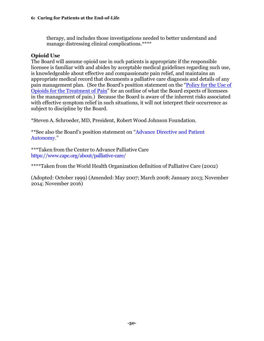therapy, and includes those investigations needed to better understand and manage distressing clinical complications.\*\*\*\*

#### **Opioid Use**

The Board will assume opioid use in such patients is appropriate if the responsible licensee is familiar with and abides by acceptable medical guidelines regarding such use, is knowledgeable about effective and compassionate pain relief, and maintains an appropriate medical record that documents a palliative care diagnosis and details of any pain management plan. (See the Board's position statement on the ["Policy for the Use of](https://www.ncmedboard.org/resources-information/professional-resources/laws-rules-position-statements/position-statements/Policy_for_the_use_of_opiates_for_the_treatment_of_pain)  [Opioids for the Treatment of Pain"](https://www.ncmedboard.org/resources-information/professional-resources/laws-rules-position-statements/position-statements/Policy_for_the_use_of_opiates_for_the_treatment_of_pain) for an outline of what the Board expects of licensees in the management of pain.) Because the Board is aware of the inherent risks associated with effective symptom relief in such situations, it will not interpret their occurrence as subject to discipline by the Board.

\*Steven A. Schroeder, MD, President, Robert Wood Johnson Foundation.

\*\*See also the Board's position statement on ["Advance Directive and Patient](https://www.ncmedboard.org/resources-information/professional-resources/laws-rules-position-statements/position-statements/advance_directives_and_patient_autonomy)  [Autonomy.](https://www.ncmedboard.org/resources-information/professional-resources/laws-rules-position-statements/position-statements/advance_directives_and_patient_autonomy)"

\*\*\*Taken from the Center to Advance Palliative Care <https://www.capc.org/about/palliative-care/>

\*\*\*\*Taken from the World Health Organization definition of Palliative Care (2002)

(Adopted: October 1999) (Amended: May 2007; March 2008; January 2013; November 2014; November 2016)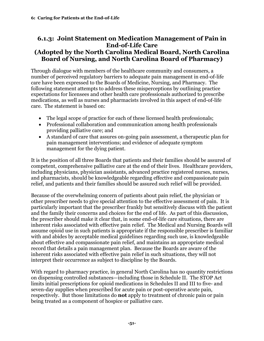### **6.1.3: Joint Statement on Medication Management of Pain in End-of-Life Care (Adopted by the North Carolina Medical Board, North Carolina Board of Nursing, and North Carolina Board of Pharmacy)**

Through dialogue with members of the healthcare community and consumers, a number of perceived regulatory barriers to adequate pain management in end-of-life care have been expressed to the Boards of Medicine, Nursing, and Pharmacy. The following statement attempts to address these misperceptions by outlining practice expectations for licensees and other health care professionals authorized to prescribe medications, as well as nurses and pharmacists involved in this aspect of end-of-life care. The statement is based on:

- The legal scope of practice for each of these licensed health professionals;
- Professional collaboration and communication among health professionals providing palliative care; and
- A standard of care that assures on-going pain assessment, a therapeutic plan for pain management interventions; and evidence of adequate symptom management for the dying patient.

It is the position of all three Boards that patients and their families should be assured of competent, comprehensive palliative care at the end of their lives. Healthcare providers, including physicians, physician assistants, advanced practice registered nurses, nurses, and pharmacists, should be knowledgeable regarding effective and compassionate pain relief, and patients and their families should be assured such relief will be provided.

Because of the overwhelming concern of patients about pain relief, the physician or other prescriber needs to give special attention to the effective assessment of pain. It is particularly important that the prescriber frankly but sensitively discuss with the patient and the family their concerns and choices for the end of life. As part of this discussion, the prescriber should make it clear that, in some end-of-life care situations, there are inherent risks associated with effective pain relief. The Medical and Nursing Boards will assume opioid use in such patients is appropriate if the responsible prescriber is familiar with and abides by acceptable medical guidelines regarding such use, is knowledgeable about effective and compassionate pain relief, and maintains an appropriate medical record that details a pain management plan. Because the Boards are aware of the inherent risks associated with effective pain relief in such situations, they will not interpret their occurrence as subject to discipline by the Boards.

With regard to pharmacy practice, in general North Carolina has no quantity restrictions on dispensing controlled substances—including those in Schedule II. The STOP Act limits initial prescriptions for opioid medications in Schedules II and III to five- and seven-day supplies when prescribed for acute pain or post-operative acute pain, respectively. But those limitations do **not** apply to treatment of chronic pain or pain being treated as a component of hospice or palliative care.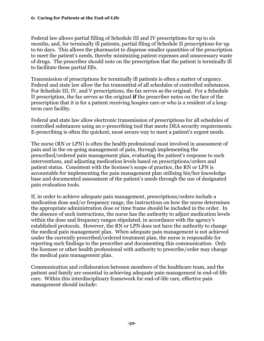Federal law allows partial filling of Schedule III and IV prescriptions for up to six months, and, for terminally ill patients, partial filing of Schedule II prescriptions for up to 60 days. This allows the pharmacist to dispense smaller quantities of the prescription to meet the patient's needs, thereby minimizing patient expenses and unnecessary waste of drugs. The prescriber should note on the prescription that the patient is terminally ill to facilitate these partial fills.

Transmission of prescriptions for terminally ill patients is often a matter of urgency. Federal and state law allow the fax transmittal of all schedules of controlled substances. For Schedule III, IV, and V prescriptions, the fax serves as the original. For a Schedule II prescription, the fax serves as the original **if** the prescriber notes on the face of the prescription that it is for a patient receiving hospice care or who is a resident of a longterm care facility.

Federal and state law allow electronic transmission of prescriptions for all schedules of controlled substances using an e-prescribing tool that meets DEA security requirements. E-prescribing is often the quickest, most secure way to meet a patient's urgent needs.

The nurse (RN or LPN) is often the health professional most involved in assessment of pain and in the on-going management of pain, through implementing the prescribed/ordered pain management plan, evaluating the patient's response to such interventions, and adjusting medication levels based on prescriptions/orders and patient status. Consistent with the licensee's scope of practice, the RN or LPN is accountable for implementing the pain management plan utilizing his/her knowledge base and documented assessment of the patient's needs through the use of designated pain evaluation tools.

If, in order to achieve adequate pain management, prescriptions/orders include a medication dose and/or frequency range, the instructions on how the nurse determines the appropriate administration dose or time frame should be included in the order. In the absence of such instructions, the nurse has the authority to adjust medication levels within the dose and frequency ranges stipulated, in accordance with the agency's established protocols. However, the RN or LPN does not have the authority to change the medical pain management plan. When adequate pain management is not achieved under the currently prescribed/ordered treatment plan, the nurse is responsible for reporting such findings to the prescriber and documenting this communication. Only the licensee or other health professional with authority to prescribe/order may change the medical pain management plan.

Communication and collaboration between members of the healthcare team, and the patient and family are essential in achieving adequate pain management in end-of-life care. Within this interdisciplinary framework for end-of-life care, effective pain management should include: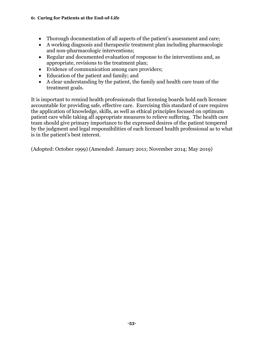#### **6: Caring for Patients at the End-of-Life**

- Thorough documentation of all aspects of the patient's assessment and care;
- A working diagnosis and therapeutic treatment plan including pharmacologic and non-pharmacologic interventions;
- Regular and documented evaluation of response to the interventions and, as appropriate, revisions to the treatment plan;
- Evidence of communication among care providers;
- Education of the patient and family; and
- A clear understanding by the patient, the family and health care team of the treatment goals.

It is important to remind health professionals that licensing boards hold each licensee accountable for providing safe, effective care. Exercising this standard of care requires the application of knowledge, skills, as well as ethical principles focused on optimum patient care while taking all appropriate measures to relieve suffering. The health care team should give primary importance to the expressed desires of the patient tempered by the judgment and legal responsibilities of each licensed health professional as to what is in the patient's best interest.

(Adopted: October 1999) (Amended: January 2011; November 2014; May 2019)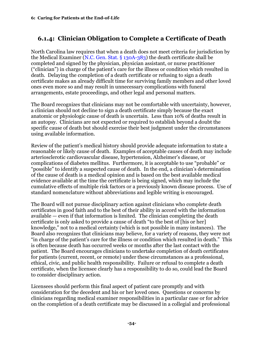# **6.1.4: Clinician Obligation to Complete a Certificate of Death**

North Carolina law requires that when a death does not meet criteria for jurisdiction by the Medical Examiner [\(N.C. Gen. Stat. § 130A-383\)](https://www.ncleg.gov/EnactedLegislation/Statutes/PDF/BySection/Chapter_130A/GS_130A-383.pdf) the death certificate shall be completed and signed by the physician, physician assistant, or nurse practitioner ("clinician") in charge of the patient's care for the illness or condition which resulted in death. Delaying the completion of a death certificate or refusing to sign a death certificate makes an already difficult time for surviving family members and other loved ones even more so and may result in unnecessary complications with funeral arrangements, estate proceedings, and other legal and personal matters.

The Board recognizes that clinicians may not be comfortable with uncertainty, however, a clinician should not decline to sign a death certificate simply because the exact anatomic or physiologic cause of death is uncertain. Less than 10% of deaths result in an autopsy. Clinicians are not expected or required to establish beyond a doubt the specific cause of death but should exercise their best judgment under the circumstances using available information.

Review of the patient's medical history should provide adequate information to state a reasonable or likely cause of death. Examples of acceptable causes of death may include arteriosclerotic cardiovascular disease, hypertension, Alzheimer's disease, or complications of diabetes mellitus. Furthermore, it is acceptable to use "probable" or "possible" to identify a suspected cause of death. In the end, a clinician's determination of the cause of death is a medical opinion and is based on the best available medical evidence available at the time the certificate is being signed, which may include the cumulative effects of multiple risk factors or a previously known disease process. Use of standard nomenclature without abbreviations and legible writing is encouraged.

The Board will not pursue disciplinary action against clinicians who complete death certificates in good faith and to the best of their ability in accord with the information available — even if that information is limited. The clinician completing the death certificate is only asked to provide a cause of death "to the best of [his or her] knowledge," not to a medical certainty (which is not possible in many instances). The Board also recognizes that clinicians may believe, for a variety of reasons, they were not "in charge of the patient's care for the illness or condition which resulted in death." This is often because death has occurred weeks or months after the last contact with the patient. The Board encourages clinicians to undertake completion of death certificates for patients (current, recent, or remote) under these circumstances as a professional, ethical, civic, and public health responsibility. Failure or refusal to complete a death certificate, when the licensee clearly has a responsibility to do so, could lead the Board to consider disciplinary action.

Licensees should perform this final aspect of patient care promptly and with consideration for the decedent and his or her loved ones. Questions or concerns by clinicians regarding medical examiner responsibilities in a particular case or for advice on the completion of a death certificate may be discussed in a collegial and professional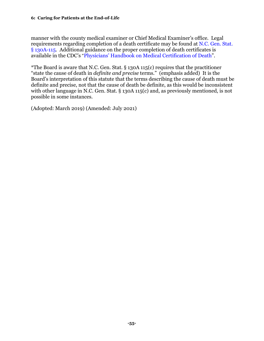manner with the county medical examiner or Chief Medical Examiner's office. Legal requirements regarding completion of a death certificate may be found at [N.C. Gen. Stat.](https://www.ncleg.gov/EnactedLegislation/Statutes/HTML/BySection/Chapter_130a/GS_130a-115.html)  [§ 130A-115.](https://www.ncleg.gov/EnactedLegislation/Statutes/HTML/BySection/Chapter_130a/GS_130a-115.html) Additional guidance on the proper completion of death certificates is available in the CDC's "Physicians' [Handbook on Medical Certification of Death"](https://www.cdc.gov/nchs/data/misc/hb_cod.pdf).

\*The Board is aware that N.C. Gen. Stat. § 130A 115(c) requires that the practitioner "state the cause of death in *definite and precise* terms." (emphasis added) It is the Board's interpretation of this statute that the terms describing the cause of death must be definite and precise, not that the cause of death be definite, as this would be inconsistent with other language in N.C. Gen. Stat. § 130A 115(c) and, as previously mentioned, is not possible in some instances.

(Adopted: March 2019) (Amended: July 2021)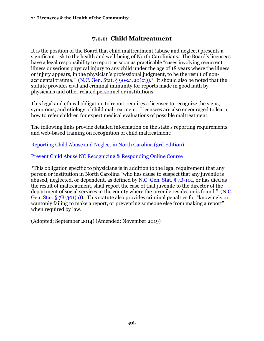## **7.1.1: Child Maltreatment**

It is the position of the Board that child maltreatment (abuse and neglect) presents a significant risk to the health and well-being of North Carolinians. The Board's licensees have a legal responsibility to report as soon as practicable "cases involving recurrent illness or serious physical injury to any child under the age of 18 years where the illness or injury appears, in the physician's professional judgment, to be the result of non-accidental trauma." [\(N.C. Gen. Stat. § 90-21.20\(c1\)\).](https://www.ncleg.gov/EnactedLegislation/Statutes/HTML/BySection/Chapter_90/GS_90-21.20.html) It should also be noted that the statute provides civil and criminal immunity for reports made in good faith by physicians and other related personnel or institutions.

This legal and ethical obligation to report requires a licensee to recognize the signs, symptoms, and etiology of child maltreatment. Licensees are also encouraged to learn how to refer children for expert medical evaluations of possible maltreatment.

The following links provide detailed information on the state's reporting requirements and web-based training on recognition of child maltreatment:

[Reporting Child Abuse and Neglect in North Carolina \(3rd Edition\)](https://www.sog.unc.edu/sites/www.sog.unc.edu/files/full_text_books/2016-11-01%202006087%20Abuse_Mason%20TEXT%20with%20supplement_0.pdf)

#### [Prevent Child Abuse NC Recognizing & Responding Online Course](http://www.preventchildabusenc.org/services/trainings-and-professional-development/rrcourse)

\*This obligation specific to physicians is in addition to the legal requirement that any person or institution in North Carolina "who has cause to suspect that any juvenile is abused, neglected, or dependent, as defined by [N.C. Gen. Stat. § 7B-101,](https://www.ncleg.gov/EnactedLegislation/Statutes/HTML/BySection/Chapter_7b/GS_7b-101.html) or has died as the result of maltreatment, shall report the case of that juvenile to the director of the department of social services in the county where the juvenile resides or is found." [\(N.C.](https://www.ncleg.gov/EnactedLegislation/Statutes/HTML/BySection/Chapter_7B/GS_7B-301.html)  [Gen. Stat. § 7B-301\(a\)\)](https://www.ncleg.gov/EnactedLegislation/Statutes/HTML/BySection/Chapter_7B/GS_7B-301.html). This statute also provides criminal penalties for "knowingly or wantonly failing to make a report, or preventing someone else from making a report" when required by law.

(Adopted: September 2014) (Amended: November 2019)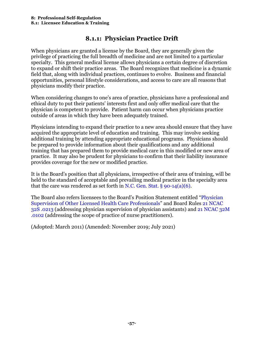## **8.1.1: Physician Practice Drift**

When physicians are granted a license by the Board, they are generally given the privilege of practicing the full breadth of medicine and are not limited to a particular specialty. This general medical license allows physicians a certain degree of discretion to expand or shift their practice areas. The Board recognizes that medicine is a dynamic field that, along with individual practices, continues to evolve. Business and financial opportunities, personal lifestyle considerations, and access to care are all reasons that physicians modify their practice.

When considering changes to one's area of practice, physicians have a professional and ethical duty to put their patients' interests first and only offer medical care that the physician is competent to provide. Patient harm can occur when physicians practice outside of areas in which they have been adequately trained.

Physicians intending to expand their practice to a new area should ensure that they have acquired the appropriate level of education and training. This may involve seeking additional training by attending appropriate educational programs. Physicians should be prepared to provide information about their qualifications and any additional training that has prepared them to provide medical care in this modified or new area of practice. It may also be prudent for physicians to confirm that their liability insurance provides coverage for the new or modified practice.

It is the Board's position that all physicians, irrespective of their area of training, will be held to the standard of acceptable and prevailing medical practice in the specialty area that the care was rendered as set forth in N.C. Gen. Stat.  $\S$  90-14(a)(6).

The Board also refers licensees to the Board's Position Statement entitled ["Physician](https://www.ncmedboard.org/resources-information/professional-resources/laws-rules-position-statements/position-statements/physician_practice_drift)  [Supervision of Other Licensed Health Care Professionals"](https://www.ncmedboard.org/resources-information/professional-resources/laws-rules-position-statements/position-statements/physician_practice_drift) and Board Rules [21 NCAC](http://reports.oah.state.nc.us/ncac/title%2021%20-%20occupational%20licensing%20boards%20and%20commissions/chapter%2032%20-%20north%20carolina%20medical%20board/subchapter%20s/21%20ncac%2032s%20.0213.pdf)  [32S .0213](http://reports.oah.state.nc.us/ncac/title%2021%20-%20occupational%20licensing%20boards%20and%20commissions/chapter%2032%20-%20north%20carolina%20medical%20board/subchapter%20s/21%20ncac%2032s%20.0213.pdf) (addressing physician supervision of physician assistants) and 21 [NCAC 32M](http://reports.oah.state.nc.us/ncac/title%2021%20-%20occupational%20licensing%20boards%20and%20commissions/chapter%2032%20-%20north%20carolina%20medical%20board/subchapter%20m/21%20ncac%2032m%20.0102.pdf)  [.0102](http://reports.oah.state.nc.us/ncac/title%2021%20-%20occupational%20licensing%20boards%20and%20commissions/chapter%2032%20-%20north%20carolina%20medical%20board/subchapter%20m/21%20ncac%2032m%20.0102.pdf) (addressing the scope of practice of nurse practitioners).

(Adopted: March 2011) (Amended: November 2019; July 2021)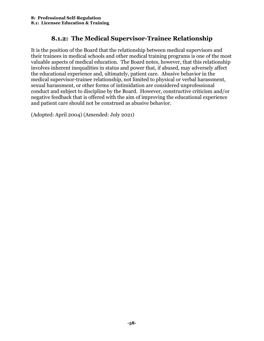## **8.1.2: The Medical Supervisor-Trainee Relationship**

It is the position of the Board that the relationship between medical supervisors and their trainees in medical schools and other medical training programs is one of the most valuable aspects of medical education. The Board notes, however, that this relationship involves inherent inequalities in status and power that, if abused, may adversely affect the educational experience and, ultimately, patient care. Abusive behavior in the medical supervisor-trainee relationship, not limited to physical or verbal harassment, sexual harassment, or other forms of intimidation are considered unprofessional conduct and subject to discipline by the Board. However, constructive criticism and/or negative feedback that is offered with the aim of improving the educational experience and patient care should not be construed as abusive behavior.

(Adopted: April 2004) (Amended: July 2021)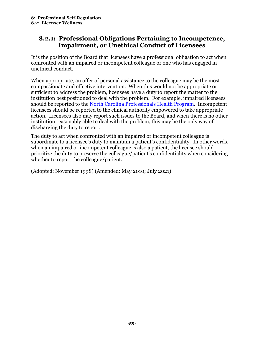### **8.2.1: Professional Obligations Pertaining to Incompetence, Impairment, or Unethical Conduct of Licensees**

It is the position of the Board that licensees have a professional obligation to act when confronted with an impaired or incompetent colleague or one who has engaged in unethical conduct.

When appropriate, an offer of personal assistance to the colleague may be the most compassionate and effective intervention. When this would not be appropriate or sufficient to address the problem, licensees have a duty to report the matter to the institution best positioned to deal with the problem. For example, impaired licensees should be reported to the [North Carolina Professionals Health Program.](https://ncphp.org/) Incompetent licensees should be reported to the clinical authority empowered to take appropriate action. Licensees also may report such issues to the Board, and when there is no other institution reasonably able to deal with the problem, this may be the only way of discharging the duty to report.

The duty to act when confronted with an impaired or incompetent colleague is subordinate to a licensee's duty to maintain a patient's confidentiality. In other words, when an impaired or incompetent colleague is also a patient, the licensee should prioritize the duty to preserve the colleague/patient's confidentiality when considering whether to report the colleague/patient.

(Adopted: November 1998) (Amended: May 2010; July 2021)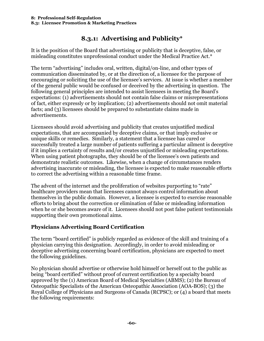# **8.3.1: Advertising and Publicity\***

It is the position of the Board that advertising or publicity that is deceptive, false, or misleading constitutes unprofessional conduct under the Medical Practice Act.\*

The term "advertising" includes oral, written, digital/on-line, and other types of communication disseminated by, or at the direction of, a licensee for the purpose of encouraging or soliciting the use of the licensee's services. At issue is whether a member of the general public would be confused or deceived by the advertising in question. The following general principles are intended to assist licensees in meeting the Board's expectations: (1) advertisements should not contain false claims or misrepresentations of fact, either expressly or by implication; (2) advertisements should not omit material facts; and (3) licensees should be prepared to substantiate claims made in advertisements.

Licensees should avoid advertising and publicity that creates unjustified medical expectations, that are accompanied by deceptive claims, or that imply exclusive or unique skills or remedies. Similarly, a statement that a licensee has cured or successfully treated a large number of patients suffering a particular ailment is deceptive if it implies a certainty of results and/or creates unjustified or misleading expectations. When using patient photographs, they should be of the licensee's own patients and demonstrate realistic outcomes. Likewise, when a change of circumstances renders advertising inaccurate or misleading, the licensee is expected to make reasonable efforts to correct the advertising within a reasonable time frame.

The advent of the internet and the proliferation of websites purporting to "rate" healthcare providers mean that licensees cannot always control information about themselves in the public domain. However, a licensee is expected to exercise reasonable efforts to bring about the correction or elimination of false or misleading information when he or she becomes aware of it. Licensees should not post false patient testimonials supporting their own promotional aims.

### **Physicians Advertising Board Certification**

The term "board certified" is publicly regarded as evidence of the skill and training of a physician carrying this designation. Accordingly, in order to avoid misleading or deceptive advertising concerning board certification, physicians are expected to meet the following guidelines.

No physician should advertise or otherwise hold himself or herself out to the public as being "board certified" without proof of current certification by a specialty board approved by the (1) American Board of Medical Specialties (ABMS); (2) the Bureau of Osteopathic Specialists of the American Osteopathic Association (AOA-BOS); (3) the Royal College of Physicians and Surgeons of Canada (RCPSC); or (4) a board that meets the following requirements: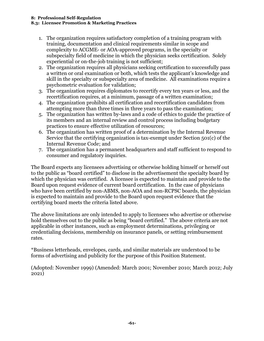#### **8: Professional Self-Regulation 8.3: Licensee Promotion & Marketing Practices**

- 1. The organization requires satisfactory completion of a training program with training, documentation and clinical requirements similar in scope and complexity to ACGME- or AOA-approved programs, in the specialty or subspecialty field of medicine in which the physician seeks certification. Solely experiential or on-the-job training is not sufficient;
- 2. The organization requires all physicians seeking certification to successfully pass a written or oral examination or both, which tests the applicant's knowledge and skill in the specialty or subspecialty area of medicine. All examinations require a psychometric evaluation for validation;
- 3. The organization requires diplomates to recertify every ten years or less, and the recertification requires, at a minimum, passage of a written examination;
- 4. The organization prohibits all certification and recertification candidates from attempting more than three times in three years to pass the examination;
- 5. The organization has written by-laws and a code of ethics to guide the practice of its members and an internal review and control process including budgetary practices to ensure effective utilization of resources;
- 6. The organization has written proof of a determination by the Internal Revenue Service that the certifying organization is tax-exempt under Section 501(c) of the Internal Revenue Code; and
- 7. The organization has a permanent headquarters and staff sufficient to respond to consumer and regulatory inquiries.

The Board expects any licensees advertising or otherwise holding himself or herself out to the public as "board certified" to disclose in the advertisement the specialty board by which the physician was certified. A licensee is expected to maintain and provide to the Board upon request evidence of current board certification. In the case of physicians who have been certified by non-ABMS, non-AOA and non-RCPSC boards, the physician is expected to maintain and provide to the Board upon request evidence that the certifying board meets the criteria listed above.

The above limitations are only intended to apply to licensees who advertise or otherwise hold themselves out to the public as being "board certified." The above criteria are not applicable in other instances, such as employment determinations, privileging or credentialing decisions, membership on insurance panels, or setting reimbursement rates.

\*Business letterheads, envelopes, cards, and similar materials are understood to be forms of advertising and publicity for the purpose of this Position Statement.

(Adopted: November 1999) (Amended: March 2001; November 2010; March 2012; July 2021)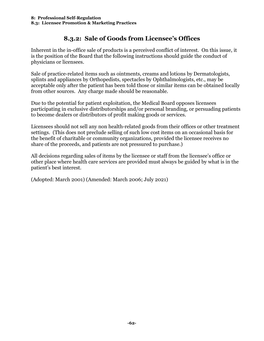# **8.3.2: Sale of Goods from Licensee's Offices**

Inherent in the in-office sale of products is a perceived conflict of interest. On this issue, it is the position of the Board that the following instructions should guide the conduct of physicians or licensees.

Sale of practice-related items such as ointments, creams and lotions by Dermatologists, splints and appliances by Orthopedists, spectacles by Ophthalmologists, etc., may be acceptable only after the patient has been told those or similar items can be obtained locally from other sources. Any charge made should be reasonable.

Due to the potential for patient exploitation, the Medical Board opposes licensees participating in exclusive distributorships and/or personal branding, or persuading patients to become dealers or distributors of profit making goods or services.

Licensees should not sell any non health-related goods from their offices or other treatment settings. (This does not preclude selling of such low cost items on an occasional basis for the benefit of charitable or community organizations, provided the licensee receives no share of the proceeds, and patients are not pressured to purchase.)

All decisions regarding sales of items by the licensee or staff from the licensee's office or other place where health care services are provided must always be guided by what is in the patient's best interest.

(Adopted: March 2001) (Amended: March 2006; July 2021)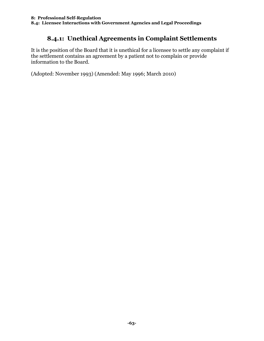### **8.4.1: Unethical Agreements in Complaint Settlements**

It is the position of the Board that it is unethical for a licensee to settle any complaint if the settlement contains an agreement by a patient not to complain or provide information to the Board.

(Adopted: November 1993) (Amended: May 1996; March 2010)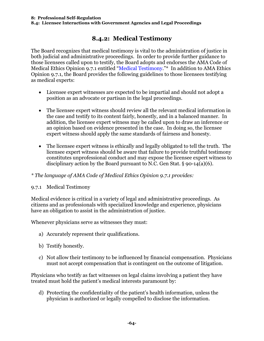## **8.4.2: Medical Testimony**

The Board recognizes that medical testimony is vital to the administration of justice in both judicial and administrative proceedings. In order to provide further guidance to those licensees called upon to testify, the Board adopts and endorses the AMA Code of Medical Ethics Opinion 9.7.1 entitled ["Medical Testimony.](https://www.ama-assn.org/delivering-care/ethics/medical-testimony#:%7E:text=Code%20of%20Medical%20Ethics%20Opinion%209.7.,-1&text=As%20citizens%20and%20as%20professionals,in%20the%20administration%20of%20justice.&text=Physicians%20must%20not%20accept%20compensation,on%20the%20outcome%20of%20litigation.)"\* In addition to AMA Ethics Opinion 9.7.1, the Board provides the following guidelines to those licensees testifying as medical experts:

- Licensee expert witnesses are expected to be impartial and should not adopt a position as an advocate or partisan in the legal proceedings.
- The licensee expert witness should review all the relevant medical information in the case and testify to its content fairly, honestly, and in a balanced manner. In addition, the licensee expert witness may be called upon to draw an inference or an opinion based on evidence presented in the case. In doing so, the licensee expert witness should apply the same standards of fairness and honesty.
- The licensee expert witness is ethically and legally obligated to tell the truth. The licensee expert witness should be aware that failure to provide truthful testimony constitutes unprofessional conduct and may expose the licensee expert witness to disciplinary action by the Board pursuant to N.C. Gen Stat. § 90-14(a)(6).

#### *\* The language of AMA Code of Medical Ethics Opinion 9.7.1 provides:*

#### 9.7.1 Medical Testimony

Medical evidence is critical in a variety of legal and administrative proceedings. As citizens and as professionals with specialized knowledge and experience, physicians have an obligation to assist in the administration of justice.

Whenever physicians serve as witnesses they must:

- a) Accurately represent their qualifications.
- b) Testify honestly.
- c) Not allow their testimony to be influenced by financial compensation. Physicians must not accept compensation that is contingent on the outcome of litigation.

Physicians who testify as fact witnesses on legal claims involving a patient they have treated must hold the patient's medical interests paramount by:

d) Protecting the confidentiality of the patient's health information, unless the physician is authorized or legally compelled to disclose the information.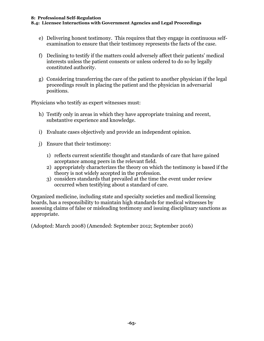#### **8: Professional Self-Regulation**

**8.4: Licensee Interactions with Government Agencies and Legal Proceedings**

- e) Delivering honest testimony. This requires that they engage in continuous selfexamination to ensure that their testimony represents the facts of the case.
- f) Declining to testify if the matters could adversely affect their patients' medical interests unless the patient consents or unless ordered to do so by legally constituted authority.
- g) Considering transferring the care of the patient to another physician if the legal proceedings result in placing the patient and the physician in adversarial positions.

Physicians who testify as expert witnesses must:

- h) Testify only in areas in which they have appropriate training and recent, substantive experience and knowledge.
- i) Evaluate cases objectively and provide an independent opinion.
- j) Ensure that their testimony:
	- 1) reflects current scientific thought and standards of care that have gained acceptance among peers in the relevant field.
	- 2) appropriately characterizes the theory on which the testimony is based if the theory is not widely accepted in the profession.
	- 3) considers standards that prevailed at the time the event under review occurred when testifying about a standard of care.

Organized medicine, including state and specialty societies and medical licensing boards, has a responsibility to maintain high standards for medical witnesses by assessing claims of false or misleading testimony and issuing disciplinary sanctions as appropriate.

(Adopted: March 2008) (Amended: September 2012; September 2016)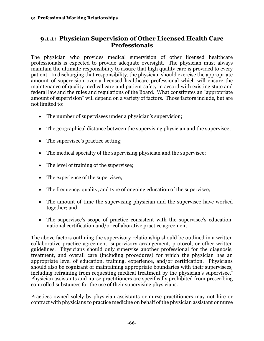### **9.1.1: Physician Supervision of Other Licensed Health Care Professionals**

The physician who provides medical supervision of other licensed healthcare professionals is expected to provide adequate oversight. The physician must always maintain the ultimate responsibility to assure that high quality care is provided to every patient. In discharging that responsibility, the physician should exercise the appropriate amount of supervision over a licensed healthcare professional which will ensure the maintenance of quality medical care and patient safety in accord with existing state and federal law and the rules and regulations of the Board. What constitutes an "appropriate amount of supervision" will depend on a variety of factors. Those factors include, but are not limited to:

- The number of supervisees under a physician's supervision;
- The geographical distance between the supervising physician and the supervisee;
- The supervisee's practice setting:
- The medical specialty of the supervising physician and the supervisee;
- The level of training of the supervisee;
- The experience of the supervisee;
- The frequency, quality, and type of ongoing education of the supervisee;
- The amount of time the supervising physician and the supervisee have worked together; and
- The supervisee's scope of practice consistent with the supervisee's education, national certification and/or collaborative practice agreement.

The above factors outlining the supervisory relationship should be outlined in a written collaborative practice agreement, supervisory arrangement, protocol, or other written guidelines. Physicians should only supervise another professional for the diagnosis, treatment, and overall care (including procedures) for which the physician has an appropriate level of education, training, experience, and/or certification. Physicians should also be cognizant of maintaining appropriate boundaries with their supervisees, including refraining from requesting medical treatment by the physician's supervisee.\* Physician assistants and nurse practitioners are specifically prohibited from prescribing controlled substances for the use of their supervising physicians.

Practices owned solely by physician assistants or nurse practitioners may not hire or contract with physicians to practice medicine on behalf of the physician assistant or nurse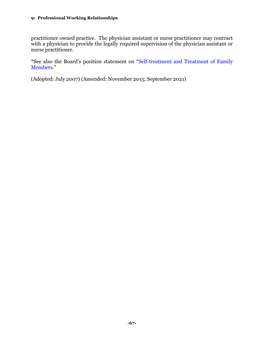practitioner owned practice. The physician assistant or nurse practitioner may contract with a physician to provide the legally required supervision of the physician assistant or nurse practitioner.

\*See also the Board's position statement on ["Self-treatment and Treatment of Family](https://www.ncmedboard.org/resources-information/professional-resources/laws-rules-position-statements/position-statements/self-treatment_and_treatment_of_family_members)  [Members.](https://www.ncmedboard.org/resources-information/professional-resources/laws-rules-position-statements/position-statements/self-treatment_and_treatment_of_family_members)"

(Adopted: July 2007) (Amended: November 2015; September 2021)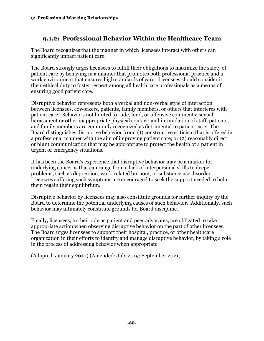## **9.1.2: Professional Behavior Within the Healthcare Team**

The Board recognizes that the manner in which licensees interact with others can significantly impact patient care.

The Board strongly urges licensees to fulfill their obligations to maximize the safety of patient care by behaving in a manner that promotes both professional practice and a work environment that ensures high standards of care. Licensees should consider it their ethical duty to foster respect among all health care professionals as a means of ensuring good patient care.

Disruptive behavior represents both a verbal and non-verbal style of interaction between licensees, coworkers, patients, family members, or others that interferes with patient care. Behaviors not limited to rude, loud, or offensive comments; sexual harassment or other inappropriate physical contact; and intimidation of staff, patients, and family members are commonly recognized as detrimental to patient care. The Board distinguishes disruptive behavior from: (1) constructive criticism that is offered in a professional manner with the aim of improving patient care; or (2) reasonably direct or blunt communication that may be appropriate to protect the health of a patient in urgent or emergency situations.

It has been the Board's experience that disruptive behavior may be a marker for underlying concerns that can range from a lack of interpersonal skills to deeper problems, such as depression, work-related burnout, or substance use disorder. Licensees suffering such symptoms are encouraged to seek the support needed to help them regain their equilibrium.

Disruptive behavior by licensees may also constitute grounds for further inquiry by the Board to determine the potential underlying causes of such behavior. Additionally, such behavior may ultimately constitute grounds for Board discipline.

Finally, licensees, in their role as patient and peer advocates, are obligated to take appropriate action when observing disruptive behavior on the part of other licensees. The Board urges licensees to support their hospital, practice, or other healthcare organization in their efforts to identify and manage disruptive behavior, by taking a role in the process of addressing behavior when appropriate.

(Adopted: January 2010) (Amended: July 2019; September 2021)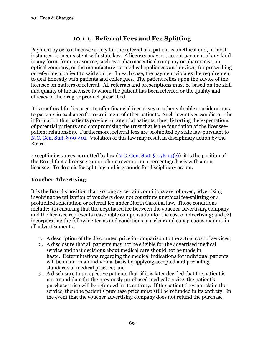# **10.1.1: Referral Fees and Fee Splitting**

Payment by or to a licensee solely for the referral of a patient is unethical and, in most instances, is inconsistent with state law. A licensee may not accept payment of any kind, in any form, from any source, such as a pharmaceutical company or pharmacist, an optical company, or the manufacturer of medical appliances and devices, for prescribing or referring a patient to said source. In each case, the payment violates the requirement to deal honestly with patients and colleagues. The patient relies upon the advice of the licensee on matters of referral. All referrals and prescriptions must be based on the skill and quality of the licensee to whom the patient has been referred or the quality and efficacy of the drug or product prescribed.

It is unethical for licensees to offer financial incentives or other valuable considerations to patients in exchange for recruitment of other patients. Such incentives can distort the information that patients provide to potential patients, thus distorting the expectations of potential patients and compromising the trust that is the foundation of the licenseepatient relationship. Furthermore, referral fees are prohibited by state law pursuant to [N.C. Gen. Stat. § 90-401.](https://www.ncleg.gov/EnactedLegislation/Statutes/HTML/BySection/Chapter_90/GS_90-401.html) Violation of this law may result in disciplinary action by the Board.

Except in instances permitted by law (N.C. Gen. Stat.  $\S$  55B-14(c)), it is the position of the Board that a licensee cannot share revenue on a percentage basis with a nonlicensee. To do so is fee splitting and is grounds for disciplinary action.

### **Voucher Advertising**

It is the Board's position that, so long as certain conditions are followed, advertising involving the utilization of vouchers does not constitute unethical fee-splitting or a prohibited solicitation or referral fee under North Carolina law. Those conditions include: (1) ensuring that the negotiated fee between the voucher advertising company and the licensee represents reasonable compensation for the cost of advertising; and (2) incorporating the following terms and conditions in a clear and conspicuous manner in all advertisements:

- 1. A description of the discounted price in comparison to the actual cost of services;
- 2. A disclosure that all patients may not be eligible for the advertised medical service and that decisions about medical care should not be made in haste. Determinations regarding the medical indications for individual patients will be made on an individual basis by applying accepted and prevailing standards of medical practice; and
- 3. A disclosure to prospective patients that, if it is later decided that the patient is not a candidate for the previously purchased medical service, the patient's purchase price will be refunded in its entirety. If the patient does not claim the service, then the patient's purchase price must still be refunded in its entirety. In the event that the voucher advertising company does not refund the purchase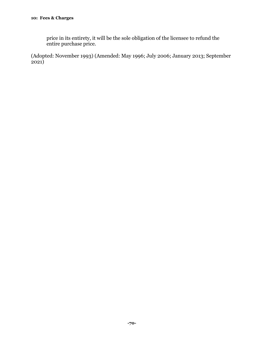price in its entirety, it will be the sole obligation of the licensee to refund the entire purchase price.

(Adopted: November 1993) (Amended: May 1996; July 2006; January 2013; September  $2021)$